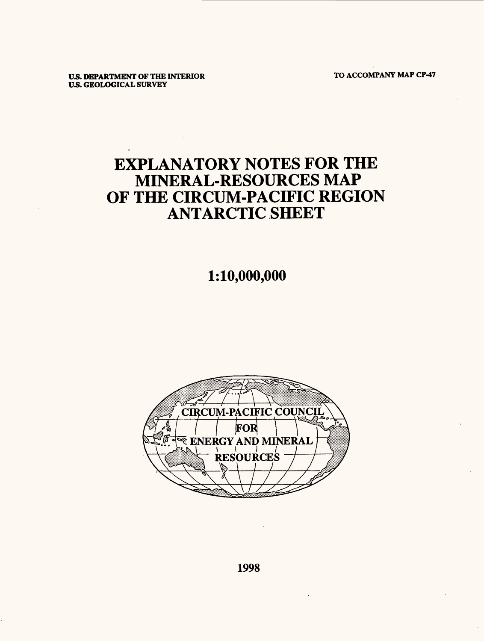**TO ACCOMPANY MAP CP-47**

**US. DEPARTMENT OF THE INTERIOR US. GEOLOGICAL SURVEY**

# **EXPLANATORY NOTES FOR THE** MINERAL-RESOURCES MAP OF THE CIRCUM-PACIFIC REGION ANTARCTIC SHEET

# 1:10,000,000

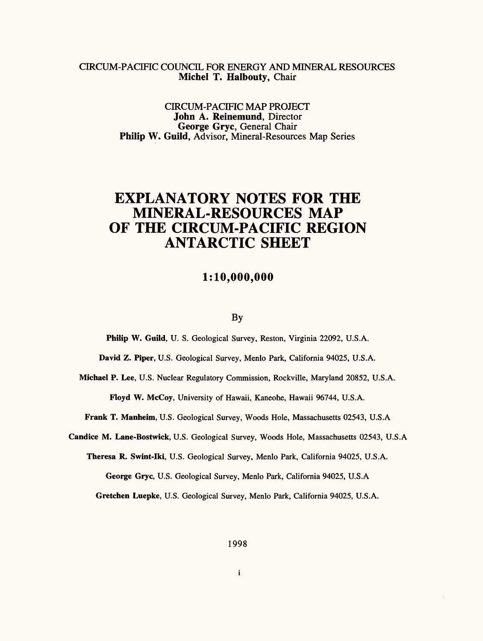### CIRCUM-PACIFIC COUNCIL FOR ENERGY AND MINERAL RESOURCES **Michel T. Halbouty,** Chair

CIRCUM-PACIFIC MAP PROJECT **John A. Reinemund,** Director **George Gryc,** General Chair **Philip W. Guild,** Advisor, Mineral-Resources Map Series

# **EXPLANATORY NOTES FOR THE MINERAL-RESOURCES MAP OF THE CIRCUM-PACIFIC REGION ANTARCTIC SHEET**

### **1:10,000,000**

#### By

**Philip W. Guild,** U. S. Geological Survey, Reston, Virginia 22092, U.S.A.

**David Z. Piper,** U.S. Geological Survey, Menlo Park, California 94025, U.S.A.

**Michael P. Lee,** U.S. Nuclear Regulatory Commission, Rockville, Maryland 20852, U.S.A. **Floyd W. McCoy,** University of Hawaii, Kaneohe, Hawaii 96744, U.S.A.

**Frank T. Manheim,** U.S. Geological Survey, Woods Hole, Massachusetts 02543, U.S.A

**Candice M. Lane-Bostwick,** U.S. Geological Survey, Woods Hole, Massachusetts 02543, U.S.A

**Theresa R. Swint-Iki,** U.S. Geological Survey, Menlo Park, California 94025, U.S.A. **George Gryc,** U.S. Geological Survey, Menlo Park, California 94025, U.S.A

**Gretchen Luepke,** U.S. Geological Survey, Menlo Park, California 94025, U.S.A.

 $\mathbf{i}$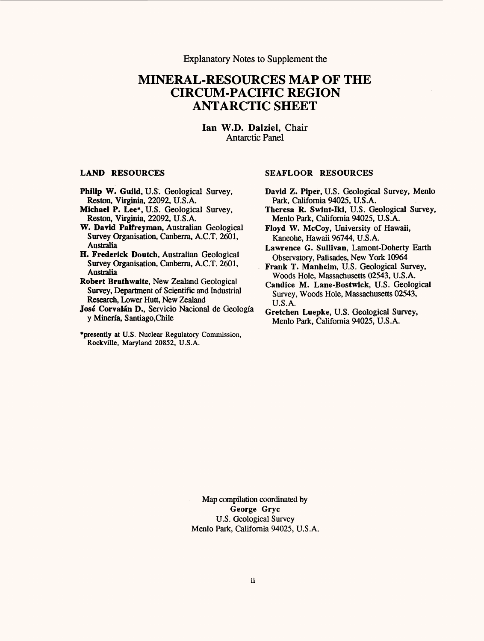Explanatory Notes to Supplement the

## **MINERAL-RESOURCES MAP OF THE CIRCUM-PACIFIC REGION ANTARCTIC SHEET**

**lan W.D. Dalziel,** Chair Antarctic Panel

#### **LAND RESOURCES**

- **Philip W. Guild,** U.S. Geological Survey, Reston, Virginia, 22092, U.S.A.
- **Michael P. Lee\*,** U.S. Geological Survey, Reston, Virginia, 22092, U.S.A.

**W. David Palfreyman,** Australian Geological Survey Organisation, Canberra, A.C.T. 2601, Australia

**H. Frederick Doutch,** Australian Geological Survey Organisation, Canberra, A.C.T. 2601, Australia

**Robert Brathwaite,** New Zealand Geological Survey, Department of Scientific and Industrial Research, Lower Hutt, New Zealand

José Corvalán D., Servicio Nacional de Geología y Minerfa, Santiago,Chile

\*presently at U.S. Nuclear Regulatory Commission, Rockville, Maryland 20852, U.S.A.

#### **SEAFLOOR RESOURCES**

- David Z. Piper, U.S. Geological Survey, Menlo Park, California 94025, U.S.A.
- Theresa R. Swint-Iki, U.S. Geological Survey, Menlo Park, California 94025, U.S.A.
- Floyd W. McCoy, University of Hawaii, Kaneohe, Hawaii 96744, U.S.A.
- Lawrence G. Sullivan, Lamont-Doherty Earth Observatory, Palisades, New York 10964
- Frank T. Manheim, U.S. Geological Survey, Woods Hole, Massachusetts 02543, U.S.A.
- Candice M. Lane-Bostwick, U.S. Geological Survey, Woods Hole, Massachusetts 02543, U.S.A.
- Gretchen Luepke, U.S. Geological Survey, Menlo Park, California 94025, U.S.A.

Map compilation coordinated by **George Gryc** U.S. Geological Survey Menlo Park, California 94025, U.S.A.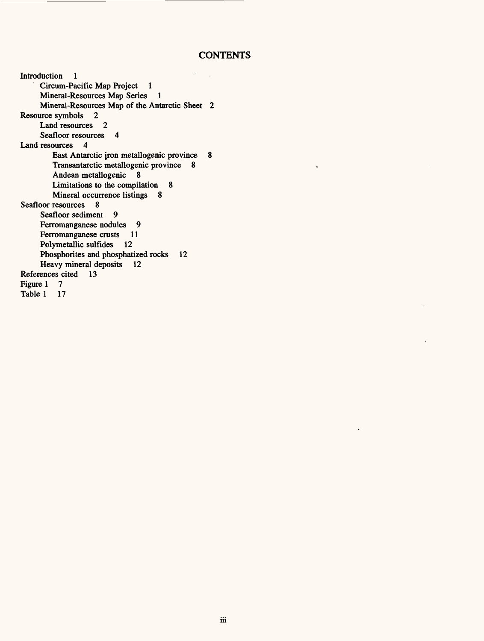### **CONTENTS**

 $\ddot{\phantom{0}}$ 

 $\bar{z}$ Introduction 1  $\sim$   $\sim$ Circum-Pacific Map Project 1 Mineral-Resources Map Series 1 Mineral-Resources Map of the Antarctic Sheet 2 Resource symbols 2 Land resources 2 Seafloor resources 4 Land resources 4 East Antarctic iron metallogenic province 8 Transantarctic metallogenic province 8 Andean metallogenic 8 Limitations to the compilation 8 Mineral occurrence listings 8 Seafloor resources 8 Seafloor sediment 9 Ferromanganese nodules 9 Ferromanganese crusts 11 Polymetallic sulfides 12 Phosphorites and phosphatized rocks 12 Heavy mineral deposits 12 References cited 13 Figure 1 7<br>Table 1 17 Table 1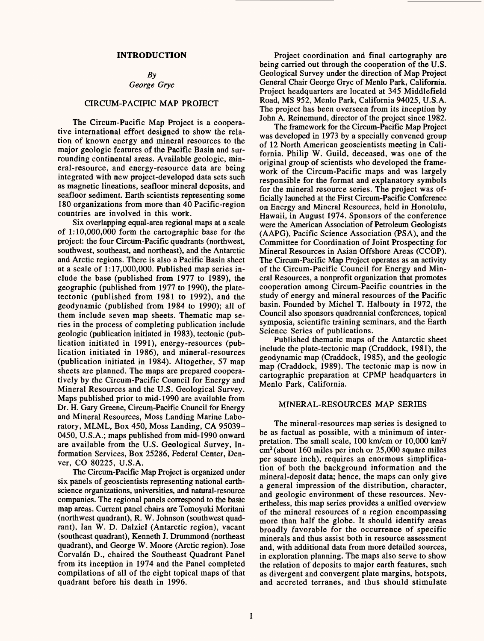#### **INTRODUCTION**

#### *By George Gryc*

### CIRCUM-PACIFIC MAP PROJECT

The Circum-Pacific Map Project is a cooperative international effort designed to show the relation of known energy and mineral resources to the major geologic features of the Pacific Basin and surrounding continental areas. Available geologic, mineral-resource, and energy-resource data are being integrated with new project-developed data sets such as magnetic lineations, seafloor mineral deposits, and seafloor sediment. Earth scientists representing some 180 organizations from more than 40 Pacific-region countries are involved in this work.

Six overlapping equal-area regional maps at a scale of 1:10,000,000 form the cartographic base for the project: the four Circum-Pacific quadrants (northwest, southwest, southeast, and northeast), and the Antarctic and Arctic regions. There is also a Pacific Basin sheet at a scale of 1:17,000,000. Published map series include the base (published from 1977 to 1989), the geographic (published from 1977 to 1990), the platetectonic (published from 1981 to 1992), and the geodynamic (published from 1984 to 1990); all of them include seven map sheets. Thematic map series in the process of completing publication include geologic (publication initiated in 1983), tectonic (publication initiated in 1991), energy-resources (publication initiated in 1986), and mineral-resources (publication initiated in 1984). Altogether, 57 map sheets are planned. The maps are prepared cooperatively by the Circum-Pacific Council for Energy and Mineral Resources and the U.S. Geological Survey. Maps published prior to mid-1990 are available from Dr. H. Gary Greene, Circum-Pacific Council for Energy and Mineral Resources, Moss Landing Marine Laboratory, MLML, Box 450, Moss Landing, CA 95039- 0450, U.S.A.; maps published from mid-1990 onward are available from the U.S. Geological Survey, Information Services, Box 25286, Federal Center, Denver, CO 80225, U.S.A.

The Circum-Pacific Map Project is organized under six panels of geoscientists representing national earthscience organizations, universities, and natural-resource companies. The regional panels correspond to the basic map areas. Current panel chairs are Tomoyuki Moritani (northwest quadrant), R. W. Johnson (southwest quadrant), lan W. D. Dalziel (Antarctic region), vacant (southeast quadrant), Kenneth J. Drummond (northeast quadrant), and George W. Moore (Arctic region). Jose Corvalán D., chaired the Southeast Quadrant Panel from its inception in 1974 and the Panel completed compilations of all of the eight topical maps of that quadrant before his death in 1996.

Project coordination and final cartography are being carried out through the cooperation of the U.S. Geological Survey under the direction of Map Project General Chair George Gryc of Menlo Park, California. Project headquarters are located at 345 Middlefield Road, MS 952, Menlo Park, California 94025, U.S.A. The project has been overseen from its inception by John A. Reinemund, director of the project since 1982.

The framework for the Circum-Pacific Map Project was developed in 1973 by a specially convened group of 12 North American geoscientists meeting in California. Philip W. Guild, deceased, was one of the original group of scientists who developed the framework of the Circum-Pacific maps and was largely responsible for the format and explanatory symbols for the mineral resource series. The project was officially launched at the First Circum-Pacific Conference on Energy and Mineral Resources, held in Honolulu, Hawaii, in August 1974. Sponsors of the conference were the American Association of Petroleum Geologists (AAPG), Pacific Science Association (PSA), and the Committee for Coordination of Joint Prospecting for Mineral Resources in Asian Offshore Areas (CCOP). The Circum-Pacific Map Project operates as an activity of the Circum-Pacific Council for Energy and Mineral Resources, a nonprofit organization that promotes cooperation among Circum-Pacific countries in the study of energy and mineral resources of the Pacific basin. Founded by Michel T. Halbouty in 1972, the Council also sponsors quadrennial conferences, topical symposia, scientific training seminars, and the Earth Science Series of publications.

Published thematic maps of the Antarctic sheet include the plate-tectonic map (Craddock, 1981), the geodynamic map (Craddock, 1985), and the geologic map (Craddock, 1989). The tectonic map is now in cartographic preparation at CPMP headquarters in Menlo Park, California.

#### MINERAL-RESOURCES MAP SERIES

The mineral-resources map series is designed to be as factual as possible, with a minimum of interpretation. The small scale, 100 km/cm or 10,000 km2/ cm2 (about 160 miles per inch or 25,000 square miles per square inch), requires an enormous simplification of both the background information and the mineral-deposit data; hence, the maps can only give a general impression of the distribution, character, and geologic environment of these resources. Nevertheless, this map series provides a unified overview of the mineral resources of a region encompassing more than half the globe. It should identify areas broadly favorable for the occurrence of specific minerals and thus assist both in resource assessment and, with additional data from more detailed sources, in exploration planning. The maps also serve to show the relation of deposits to major earth features, such as divergent and convergent plate margins, hotspots, and accreted terranes, and thus should stimulate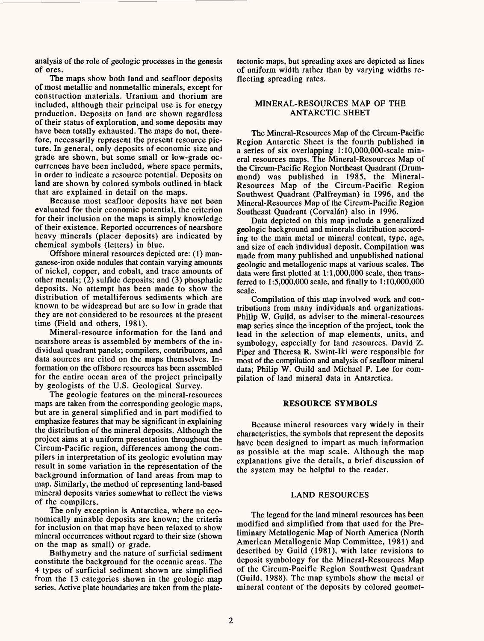analysis of the role of geologic processes in the genesis of ores.

The maps show both land and seafloor deposits of most metallic and nonmetallic minerals, except for construction materials. Uranium and thorium are included, although their principal use is for energy production. Deposits on land are shown regardless of their status of exploration, and some deposits may have been totally exhausted. The maps do not, therefore, necessarily represent the present resource picture. In general, only deposits of economic size and grade are shown, but some small or low-grade occurrences have been included, where space permits, in order to indicate a resource potential. Deposits on land are shown by colored symbols outlined in black that are explained in detail on the maps.

Because most seafloor deposits have not been evaluated for their economic potential, the criterion for their inclusion on the maps is simply knowledge of their existence. Reported occurrences of nearshore heavy minerals (placer deposits) are indicated by chemical symbols (letters) in blue.

Offshore mineral resources depicted are: (1) manganese-iron oxide nodules that contain varying amounts of nickel, copper, and cobalt, and trace amounts of other metals; (2) sulfide deposits; and (3) phosphatic deposits. No attempt has been made to show the distribution of metalliferous sediments which are known to be widespread but are so low in grade that they are not considered to be resources at the present time (Field and others, 1981).

Mineral-resource information for the land and nearshore areas is assembled by members of the individual quadrant panels; compilers, contributors, and data sources are cited on the maps themselves. Information on the offshore resources has been assembled for the entire ocean area of the project principally by geologists of the U.S. Geological Survey.

The geologic features on the mineral-resources maps are taken from the corresponding geologic maps, but are in general simplified and in part modified to emphasize features that may be significant in explaining the distribution of the mineral deposits. Although the project aims at a uniform presentation throughout the Circum-Pacific region, differences among the compilers in interpretation of its geologic evolution may result in some variation in the representation of the background information of land areas from map to map. Similarly, the method of representing land-based mineral deposits varies somewhat to reflect the views of the compilers.

The only exception is Antarctica, where no economically minable deposits are known; the criteria for inclusion on that map have been relaxed to show mineral occurrences without regard to their size (shown on the map as small) or grade.

Bathymetry and the nature of surficial sediment constitute the background for the oceanic areas. The 4 types of surficial sediment shown are simplified from the 13 categories shown in the geologic map series. Active plate boundaries are taken from the platetectonic maps, but spreading axes are depicted as lines of uniform width rather than by varying widths reflecting spreading rates.

#### MINERAL-RESOURCES MAP OF THE ANTARCTIC SHEET

The Mineral-Resources Map of the Circum-Pacific Region Antarctic Sheet is the fourth published in a series of six overlapping l:10,000,000-scale mineral resources maps. The Mineral-Resources Map of the Circum-Pacific Region Northeast Quadrant (Drummond) was published in 1985, the Mineral-Resources Map of the Circum-Pacific Region Southwest Quadrant (Palfreyman) in 1996, and the Mineral-Resources Map of the Circum-Pacific Region Southeast Quadrant (Corvalán) also in 1996.

Data depicted on this map include a generalized geologic background and minerals distribution according to the main metal or mineral content, type, age, and size of each individual deposit. Compilation was made from many published and unpublished national geologic and metallogenic maps at various scales. The data were first plotted at 1:1,000,000 scale, then transferred to 1:5,000,000 scale, and finally to 1:10,000,000 scale.

Compilation of this map involved work and contributions from many individuals and organizations. Philip W. Guild, as adviser to the mineral-resources map series since the inception of the project, took the lead in the selection of map elements, units, and symbology, especially for land resources. David Z. Piper and Theresa R. Swint-Iki were responsible for most of the compilation and analysis of seafloor mineral data; Philip W. Guild and Michael P. Lee for compilation of land mineral data in Antarctica.

#### **RESOURCE SYMBOLS**

Because mineral resources vary widely in their characteristics, the symbols that represent the deposits have been designed to impart as much information as possible at the map scale. Although the map explanations give the details, a brief discussion of the system may be helpful to the reader.

#### LAND RESOURCES

The legend for the land mineral resources has been modified and simplified from that used for the Preliminary Metallogenic Map of North America (North American Metallogenic Map Committee, 1981) and described by Guild (1981), with later revisions to deposit symbology for the Mineral-Resources Map of the Circum-Pacific Region Southwest Quadrant (Guild, 1988). The map symbols show the metal or mineral content of the deposits by colored geomet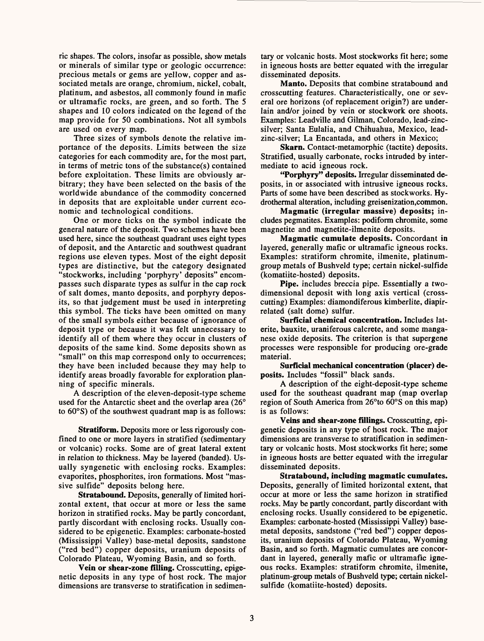ric shapes. The colors, insofar as possible, show metals or minerals of similar type or geologic occurrence: precious metals or gems are yellow, copper and associated metals are orange, chromium, nickel, cobalt, platinum, and asbestos, all commonly found in mafic or ultramafic rocks, are green, and so forth. The 5 shapes and 10 colors indicated on the legend of the map provide for 50 combinations. Not all symbols are used on every map.

Three sizes of symbols denote the relative importance of the deposits. Limits between the size categories for each commodity are, for the most part, in terms of metric tons of the substance(s) contained before exploitation. These limits are obviously arbitrary; they have been selected on the basis of the worldwide abundance of the commodity concerned in deposits that are exploitable under current economic and technological conditions.

One or more ticks on the symbol indicate the general nature of the deposit. Two schemes have been used here, since the southeast quadrant uses eight types of deposit, and the Antarctic and southwest quadrant regions use eleven types. Most of the eight deposit types are distinctive, but the category designated "stockworks, including 'porphyry' deposits" encompasses such disparate types as sulfur in the cap rock of salt domes, manto deposits, and porphyry deposits, so that judgement must be used in interpreting this symbol. The ticks have been omitted on many of the small symbols either because of ignorance of deposit type or because it was felt unnecessary to identify all of them where they occur in clusters of deposits of the same kind. Some deposits shown as "small" on this map correspond only to occurrences; they have been included because they may help to identify areas broadly favorable for exploration planning of specific minerals.

A description of the eleven-deposit-type scheme used for the Antarctic sheet and the overlap area (26° to 60°S) of the southwest quadrant map is as follows:

**Stratiform.** Deposits more or less rigorously confined to one or more layers in stratified (sedimentary or volcanic) rocks. Some are of great lateral extent in relation to thickness. May be layered (banded). Usually syngenetic with enclosing rocks. Examples: evaporites, phosphorites, iron formations. Most "massive sulfide" deposits belong here.

Stratabound. Deposits, generally of limited horizontal extent, that occur at more or less the same horizon in stratified rocks. May be partly concordant, partly discordant with enclosing rocks. Usually considered to be epigenetic. Examples: carbonate-hosted (Mississippi Valley) base-metal deposits, sandstone ("red bed") copper deposits, uranium deposits of Colorado Plateau, Wyoming Basin, and so forth.

**Vein or shear-zone filling.** Crosscutting, epigenetic deposits in any type of host rock. The major dimensions are transverse to stratification in sedimentary or volcanic hosts. Most stockworks fit here; some in igneous hosts are better equated with the irregular disseminated deposits.

Manto. Deposits that combine stratabound and crosscutting features. Characteristically, one or several ore horizons (of replacement origin?) are underlain and/or joined by vein or stockwork ore shoots. Examples: Leadville and Oilman, Colorado, lead-zincsilver; Santa Eulalia, and Chihuahua, Mexico, leadzinc-silver; La Encantada, and others in Mexico;

**Skarn.** Contact-metamorphic (tactite) deposits. Stratified, usually carbonate, rocks intruded by intermediate to acid igneous rock.

**"Porphyry" deposits.** Irregular disseminated deposits, in or associated with intrusive igneous rocks. Parts of some have been described as stockworks. Hydrothermal alteration, including greisenization,common.

**Magmatic (irregular massive) deposits;** includes pegmatites. Examples: podiform chromite, some magnetite and magnetite-ilmenite deposits.

**Magmatic cumulate deposits.** Concordant in layered, generally mafic or ultramafic igneous rocks. Examples: stratiform chromite, ilmenite, platinumgroup metals of Bushveld type; certain nickel-sulfide (komatiite-hosted) deposits.

**Pipe,** includes breccia pipe. Essentially a twodimensional deposit with long axis vertical (crosscutting) Examples: diamondiferous kimberlite, diapirrelated (salt dome) sulfur.

**Surficial chemical concentration.** Includes laterite, bauxite, uraniferous calcrete, and some manganese oxide deposits. The criterion is that supergene processes were responsible for producing ore-grade material.

**Surficial mechanical concentration (placer) deposits.** Includes "fossil" black sands.

A description of the eight-deposit-type scheme used for the southeast quadrant map (map overlap region of South America from 26°to 60°S on this map) is as follows:

**Veins and shear-zone fillings.** Crosscutting, epigenetic deposits in any type of host rock. The major dimensions are transverse to stratification in sedimentary or volcanic hosts. Most stockworks fit here; some in igneous hosts are better equated with the irregular disseminated deposits.

**Stratabound, including magmatic cumulates.**  Deposits, generally of limited horizontal extent, that occur at more or less the same horizon in stratified rocks. May be partly concordant, partly discordant with enclosing rocks. Usually considered to be epigenetic. Examples: carbonate-hosted (Mississippi Valley) basemetal deposits, sandstone ("red bed") copper deposits, uranium deposits of Colorado Plateau, Wyoming Basin, and so forth. Magmatic cumulates are concordant in layered, generally mafic or ultramafic igneous rocks. Examples: stratiform chromite, ilmenite, platinum-group metals of Bushveld type; certain nickelsulfide (komatiite-hosted) deposits.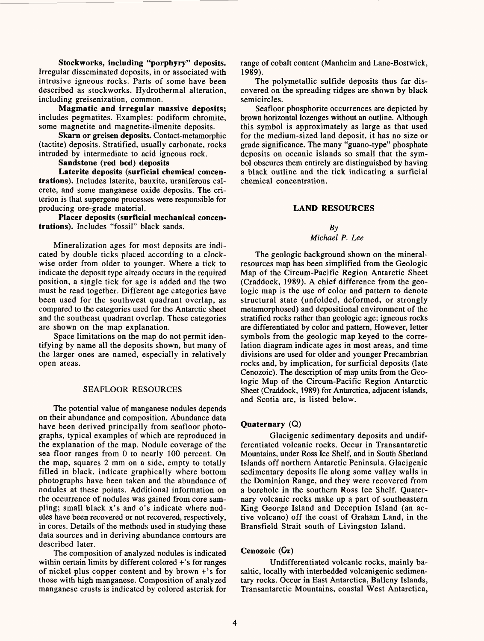**Stockworks, including "porphyry" deposits.** Irregular disseminated deposits, in or associated with intrusive igneous rocks. Parts of some have been described as stockworks. Hydrothermal alteration, including greisenization, common.

**Magmatic and irregular massive deposits;**  includes pegmatites. Examples: podiform chromite, some magnetite and magnetite-ilmenite deposits.

**Skarn or greisen deposits.** Contact-metamorphic (tactite) deposits. Stratified, usually carbonate, rocks intruded by intermediate to acid igneous rock.

**Sandstone (red bed) deposits**

**Laterite deposits (surficial chemical concentrations).** Includes laterite, bauxite, uraniferous calcrete, and some manganese oxide deposits. The criterion is that supergene processes were responsible for producing ore-grade material.

**Placer deposits (surficial mechanical concentrations).** Includes "fossil" black sands.

Mineralization ages for most deposits are indicated by double ticks placed according to a clockwise order from older to younger. Where a tick to indicate the deposit type already occurs in the required position, a single tick for age is added and the two must be read together. Different age categories have been used for the southwest quadrant overlap, as compared to the categories used for the Antarctic sheet and the southeast quadrant overlap. These categories are shown on the map explanation.

Space limitations on the map do not permit identifying by name all the deposits shown, but many of the larger ones are named, especially in relatively open areas.

#### SEAFLOOR RESOURCES

The potential value of manganese nodules depends on their abundance and composition. Abundance data have been derived principally from seafloor photographs, typical examples of which are reproduced in the explanation of the map. Nodule coverage of the sea floor ranges from 0 to nearly 100 percent. On the map, squares 2 mm on a side, empty to totally filled in black, indicate graphically where bottom photographs have been taken and the abundance of nodules at these points. Additional information on the occurrence of nodules was gained from core sampling; small black x's and o's indicate where nodules have been recovered or not recovered, respectively, in cores. Details of the methods used in studying these data sources and in deriving abundance contours are described later.

The composition of analyzed nodules is indicated within certain limits by different colored +'s for ranges of nickel plus copper content and by brown +'s for those with high manganese. Composition of analyzed manganese crusts is indicated by colored asterisk for range of cobalt content (Manheim and Lane-Bostwick, 1989).

The polymetallic sulfide deposits thus far discovered on the spreading ridges are shown by black semicircles.

Seafloor phosphorite occurrences are depicted by brown horizontal lozenges without an outline. Although this symbol is approximately as large as that used for the medium-sized land deposit, it has no size or grade significance. The many "guano-type" phosphate deposits on oceanic islands so small that the symbol obscures them entirely are distinguished by having a black outline and the tick indicating a surficial chemical concentration.

#### **LAND RESOURCES**

#### *By*

#### *Michael P. Lee*

The geologic background shown on the mineralresources map has been simplified from the Geologic Map of the Circum-Pacific Region Antarctic Sheet (Craddock, 1989). A chief difference from the geologic map is the use of color and pattern to denote structural state (unfolded, deformed, or strongly metamorphosed) and depositional environment of the stratified rocks rather than geologic age; igneous rocks are differentiated by color and pattern. However, letter symbols from the geologic map keyed to the correlation diagram indicate ages in most areas, and time divisions are used for older and younger Precambrian rocks and, by implication, for surficial deposits (late Cenozoic). The description of map units from the Geologic Map of the Circum-Pacific Region Antarctic Sheet (Craddock, 1989) for Antarctica, adjacent islands, and Scotia arc, is listed below.

#### **Quaternary (Q)**

Glacigenic sedimentary deposits and undifferentiated volcanic rocks. Occur in Transantarctic Mountains, under Ross Ice Shelf, and in South Shetland Islands off northern Antarctic Peninsula. Glacigenic sedimentary deposits lie along some valley walls in the Dominion Range, and they were recovered from a borehole in the southern Ross Ice Shelf. Quaternary volcanic rocks make up a part of southeastern King George Island and Deception Island (an active volcano) off the coast of Graham Land, in the Bransfield Strait south of Livingston Island.

#### **Cenozoic** (Cz)

Undifferentiated volcanic rocks, mainly basaltic, locally with interbedded volcanigenic sedimentary rocks. Occur in East Antarctica, Balleny Islands, Transantarctic Mountains, coastal West Antarctica,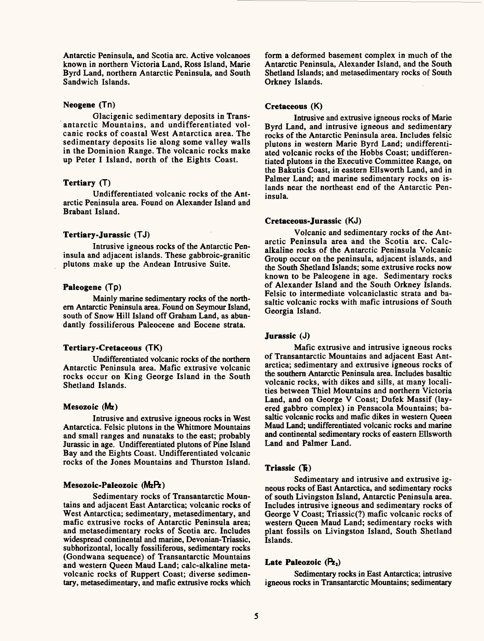Antarctic Peninsula, and Scotia arc. Active volcanoes known in northern Victoria Land, Ross Island, Marie Byrd Land, northern Antarctic Peninsula, and South Sandwich Islands.

#### Neogene (Tn)

Glacigenic sedimentary deposits in Transantarctic Mountains, and undifferentiated volcanic rocks of coastal West Antarctica area. The sedimentary deposits lie along some valley walls in the Dominion Range. The volcanic rocks make up Peter I Island, north of the Eights Coast.

#### **Tertiary** (T)

Undifferentiated volcanic rocks of the Antarctic Peninsula area. Found on Alexander Island and Brabant Island.

#### **Tertiary-Jurassic** (TJ)

Intrusive igneous rocks of the Antarctic Peninsula and adjacent islands. These gabbroic-granitic plutons make up the Andean Intrusive Suite.

#### **Paleogene** (Tp)

Mainly marine sedimentary rocks of the northern Antarctic Peninsula area. Found on Seymour Island, south of Snow Hill Island off Graham Land, as abundantly fossiliferous Paleocene and Eocene strata.

#### **Tertiary-Cretaceous** (TK)

Undifferentiated volcanic rocks of the northern Antarctic Peninsula area. Mafic extrusive volcanic rocks occur on King George Island in the South Shetland Islands.

#### **Mesozoic** (Mz)

Intrusive and extrusive igneous rocks in West Antarctica. Felsic plutons in the Whitmore Mountains and small ranges and nunataks to the east; probably Jurassic in age. Undifferentiated plutons of Pine Island Bay and the Eights Coast. Undifferentiated volcanic rocks of the Jones Mountains and Thurston Island.

#### **Mesozoic-Paleozoic** (MzPz)

Sedimentary rocks of Transantarctic Mountains and adjacent East Antarctica; volcanic rocks of West Antarctica; sedimentary, metasedimentary, and mafic extrusive rocks of Antarctic Peninsula area; and metasedimentary rocks of Scotia arc. Includes widespread continental and marine, Devonian-Triassic, subhorizontal, locally fossiliferous, sedimentary rocks (Gondwana sequence) of Transantarctic Mountains and western Queen Maud Land; calc-alkaline metavolcanic rocks of Ruppert Coast; diverse sedimentary, metasedimentary, and mafic extrusive rocks which

form a deformed basement complex in much of the Antarctic Peninsula, Alexander Island, and the South Shetland Islands; and metasedimentary rocks of South Orkney Islands.

#### **Cretaceous** (K)

Intrusive and extrusive igneous rocks of Marie Byrd Land, and intrusive igneous and sedimentary rocks of the Antarctic Peninsula area. Includes felsic plutons in western Marie Byrd Land; undifferentiated volcanic rocks of the Hobbs Coast; undifferentiated plutons in the Executive Committee Range, on the Bakutis Coast, in eastern Ells worth Land, and in Palmer Land; and marine sedimentary rocks on islands near the northeast end of the Antarctic Peninsula.

#### **Cretaceous-Jurassic** (KJ)

Volcanic and sedimentary rocks of the Antarctic Peninsula area and the Scotia arc. Calcalkaline rocks of the Antarctic Peninsula Volcanic Group occur on the peninsula, adjacent islands, and the South Shetland Islands; some extrusive rocks now known to be Paleogene in age. Sedimentary rocks of Alexander Island and the South Orkney Islands. Felsic to intermediate volcaniclastic strata and basaltic volcanic rocks with mafic intrusions of South Georgia Island.

#### **Jurassic** (J)

Mafic extrusive and intrusive igneous rocks of Transantarctic Mountains and adjacent East Antarctica; sedimentary and extrusive igneous rocks of the southern Antarctic Peninsula area. Includes basaltic volcanic rocks, with dikes and sills, at many localities between Thiel Mountains and northern Victoria Land, and on George V Coast; Dufek Massif (layered gabbro complex) in Pensacola Mountains; basaltic volcanic rocks and mafic dikes in western Queen Maud Land; undifferentiated volcanic rocks and marine and continental sedimentary rocks of eastern Ellsworth Land and Palmer Land.

#### **Triassic** (1)

Sedimentary and intrusive and extrusive igneous rocks of East Antarctica, and sedimentary rocks of south Livingston Island, Antarctic Peninsula area. Includes intrusive igneous and sedimentary rocks of George V Coast; Triassic(?) mafic volcanic rocks of western Queen Maud Land; sedimentary rocks with plant fossils on Livingston Island, South Shetland Islands.

#### Late Paleozoic (Pz<sub>2</sub>)

Sedimentary rocks in East Antarctica; intrusive igneous rocks in Transantarctic Mountains; sedimentary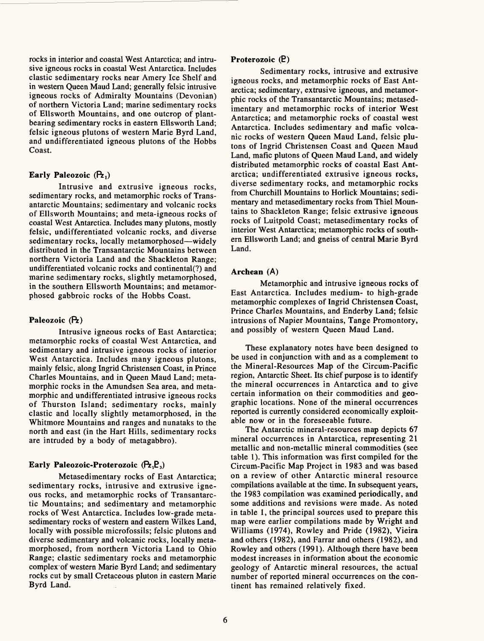rocks in interior and coastal West Antarctica; and intrusive igneous rocks in coastal West Antarctica. Includes clastic sedimentary rocks near Amery Ice Shelf and in western Queen Maud Land; generally felsic intrusive igneous rocks of Admiralty Mountains (Devonian) of northern Victoria Land; marine sedimentary rocks of Ellsworth Mountains, and one outcrop of plantbearing sedimentary rocks in eastern Ellsworth Land; felsic igneous plutons of western Marie Byrd Land, and undifferentiated igneous plutons of the Hobbs Coast.

#### Early Paleozoic (**P**<sub>z</sub>,)

Intrusive and extrusive igneous rocks, sedimentary rocks, and metamorphic rocks of Transantarctic Mountains; sedimentary and volcanic rocks of Ellsworth Mountains; and meta-igneous rocks of coastal West Antarctica. Includes many plutons, mostly felsic, undifferentiated volcanic rocks, and diverse sedimentary rocks, locally metamorphosed—widely distributed in the Transantarctic Mountains between northern Victoria Land and the Shackleton Range; undifferentiated volcanic rocks and continental^) and marine sedimentary rocks, slightly metamorphosed, in the southern Ellsworth Mountains; and metamorphosed gabbroic rocks of the Hobbs Coast.

#### Paleozoic (**P**z)

Intrusive igneous rocks of East Antarctica; metamorphic rocks of coastal West Antarctica, and sedimentary and intrusive igneous rocks of interior West Antarctica. Includes many igneous plutons, mainly felsic, along Ingrid Christensen Coast, in Prince Charles Mountains, and in Queen Maud Land; metamorphic rocks in the Amundsen Sea area, and metamorphic and undifferentiated intrusive igneous rocks of Thurston Island; sedimentary rocks, mainly clastic and locally slightly metamorphosed, in the Whitmore Mountains and ranges and nunataks to the north and east (in the Hart Hills, sedimentary rocks are intruded by a body of metagabbro).

#### **Early Paleozoic-Proterozoic (Pz, P<sub>3</sub>)**

Metasedimentary rocks of East Antarctica; sedimentary rocks, intrusive and extrusive igneous rocks, and metamorphic rocks of Transantarctic Mountains; and sedimentary and metamorphic rocks of West Antarctica. Includes low-grade metasedimentary rocks of western and eastern Wilkes Land, locally with possible microfossils; felsic plutons and diverse sedimentary and volcanic rocks, locally metamorphosed, from northern Victoria Land to Ohio Range; clastic sedimentary rocks and metamorphic complex of western Marie Byrd Land; and sedimentary rocks cut by small Cretaceous pluton in eastern Marie Byrd Land.

#### **Proterozoic (B)**

Sedimentary rocks, intrusive and extrusive igneous rocks, and metamorphic rocks of East Antarctica; sedimentary, extrusive igneous, and metamorphic rocks of the Transantarctic Mountains; metasedimentary and metamorphic rocks of interior West Antarctica; and metamorphic rocks of coastal west Antarctica. Includes sedimentary and mafic volcanic rocks of western Queen Maud Land, felsic plutons of Ingrid Christensen Coast and Queen Maud Land, mafic plutons of Queen Maud Land, and widely distributed metamorphic rocks of coastal East Antarctica; undifferentiated extrusive igneous rocks, diverse sedimentary rocks, and metamorphic rocks from Churchill Mountains to Horlick Mountains; sedimentary and metasedimentary rocks from Thiel Mountains to Shackleton Range; felsic extrusive igneous rocks of Luitpold Coast; metasedimentary rocks of interior West Antarctica; metamorphic rocks of southern Ellsworth Land; and gneiss of central Marie Byrd Land.

#### **Archean** (A)

Metamorphic and intrusive igneous rocks of East Antarctica. Includes medium- to high-grade metamorphic complexes of Ingrid Christensen Coast, Prince Charles Mountains, and Enderby Land; felsic intrusions of Napier Mountains, Tange Promontory, and possibly of western Queen Maud Land.

These explanatory notes have been designed to be used in conjunction with and as a complement to the Mineral-Resources Map of the Circum-Pacific region, Antarctic Sheet. Its chief purpose is to identify the mineral occurrences in Antarctica and to give certain information on their commodities and geographic locations. None of the mineral occurrences reported is currently considered economically exploitable now or in the foreseeable future.

The Antarctic mineral-resources map depicts 67 mineral occurrences in Antarctica, representing 21 metallic and non-metallic mineral commodities (see table 1). This information was first compiled for the Circum-Pacific Map Project in 1983 and was based on a review of other Antarctic mineral resource compilations available at the time. In subsequent years, the 1983 compilation was examined periodically, and some additions and revisions were made. As noted in table 1, the principal sources used to prepare this map were earlier compilations made by Wright and Williams (1974), Rowley and Pride (1982), Vieira and others (1982), and Farrar and others (1982), and Rowley and others (1991). Although there have been modest increases in information about the economic geology of Antarctic mineral resources, the actual number of reported mineral occurrences on the continent has remained relatively fixed.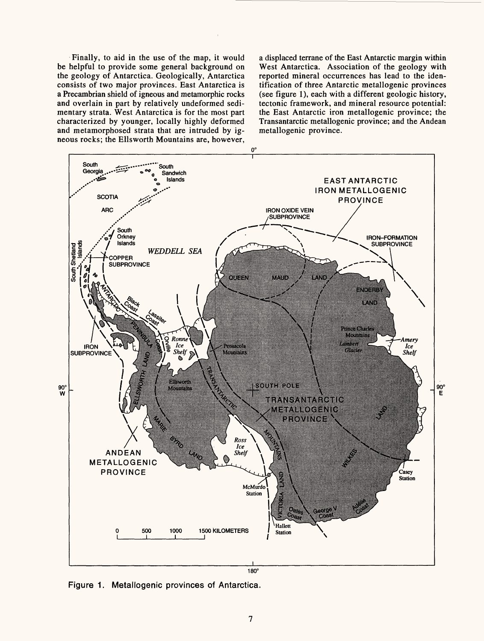Finally, to aid in the use of the map, it would be helpful to provide some general background on the geology of Antarctica. Geologically, Antarctica consists of two major provinces. East Antarctica is a Precambrian shield of igneous and metamorphic rocks and overlain in part by relatively undeformed sedimentary strata. West Antarctica is for the most part characterized by younger, locally highly deformed and metamorphosed strata that are intruded by igneous rocks; the Ells worth Mountains are, however,

a displaced terrane of the East Antarctic margin within West Antarctica. Association of the geology with reported mineral occurrences has lead to the identification of three Antarctic metallogenic provinces (see figure 1), each with a different geologic history, tectonic framework, and mineral resource potential: the East Antarctic iron metallogenic province; the Transantarctic metallogenic province; and the Andean metallogenic province.



Figure 1. Metallogenic provinces of Antarctica.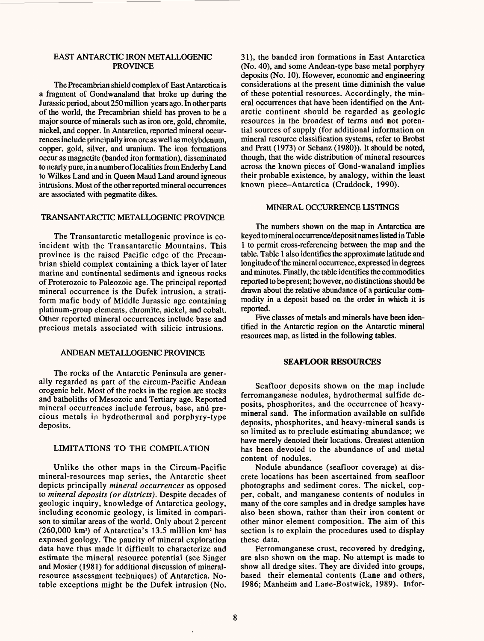#### EAST ANTARCTIC IRON METALLOGENIC **PROVINCE**

The Precambrian shield complex of East Antarctica is a fragment of Gondwanaland that broke up during the Jurassic period, about 250 million years ago. In other parts of the world, the Precambrian shield has proven to be a major source of minerals such as iron ore, gold, chromite, nickel, and copper. In Antarctica, reported mineral occurrences include principally iron ore as well as molybdenum, copper, gold, silver, and uranium. The iron formations occur as magnetite (banded iron formation), disseminated to nearly pure, in a number of localities from Enderby Land to Wilkes Land and in Queen Maud Land around igneous intrusions. Most of the other reported mineral occurrences are associated with pegmatite dikes.

#### TRANSANTARCTIC METALLOGENIC PROVINCE

The Transantarctic metallogenic province is coincident with the Transantarctic Mountains. This province is the raised Pacific edge of the Precambrian shield complex containing a thick layer of later marine and continental sediments and igneous rocks of Proterozoic to Paleozoic age. The principal reported mineral occurrence is the Dufek intrusion, a stratiform mafic body of Middle Jurassic age containing platinum-group elements, chromite, nickel, and cobalt. Other reported mineral occurrences include base and precious metals associated with silicic intrusions.

#### ANDEAN METALLOGENIC PROVINCE

The rocks of the Antarctic Peninsula are generally regarded as part of the circum-Pacific Andean orogenic belt. Most of the rocks in the region are stocks and batholiths of Mesozoic and Tertiary age. Reported mineral occurrences include ferrous, base, and precious metals in hydrothermal and porphyry-type deposits.

#### LIMITATIONS TO THE COMPILATION

Unlike the other maps in the Circum-Pacific mineral-resources map series, the Antarctic sheet depicts principally *mineral occurrences* as opposed to *mineral deposits (or districts).* Despite decades of geologic inquiry, knowledge of Antarctica geology, including economic geology, is limited in comparison to similar areas of the world. Only about 2 percent  $(260,000 \text{ km}^2)$  of Antarctica's 13.5 million  $\text{km}^2$  has exposed geology. The paucity of mineral exploration data have thus made it difficult to characterize and estimate the mineral resource potential (see Singer and Mosier (1981) for additional discussion of mineralresource assessment techniques) of Antarctica. Notable exceptions might be the Dufek intrusion (No.

31), the banded iron formations in East Antarctica (No. 40), and some Andean-type base metal porphyry deposits (No. 10). However, economic and engineering considerations at the present time diminish the value of these potential resources. Accordingly, the mineral occurrences that have been identified on the Antarctic continent should be regarded as geologic resources in the broadest of terms and not potential sources of supply (for additional information on mineral resource classification systems, refer to Brobst and Pratt (1973) or Schanz (1980)). It should be noted, though, that the wide distribution of mineral resources across the known pieces of Gond-wanaland implies their probable existence, by analogy, within the least known piece-Antarctica (Craddock, 1990).

#### MINERAL OCCURRENCE LISTINGS

The numbers shown on the map in Antarctica are keyed to mineral occurrence/deposit names listed in Table 1 to permit cross-referencing between the map and the table. Table 1 also identifies the approximate latitude and longitude of the mineral occurrence, expressed in degrees and minutes. Finally, the table identifies the commodities reported to be present; however, no distinctions should be drawn about the relative abundance of a particular commodity in a deposit based on the order in which it is reported.

Five classes of metals and minerals have been identified in the Antarctic region on the Antarctic mineral resources map, as listed in the following tables.

#### **SEAFLOOR RESOURCES**

Seafloor deposits shown on the map include ferromanganese nodules, hydrothermal sulfide deposits, phosphorites, and the occurrence of heavymineral sand. The information available on sulfide deposits, phosphorites, and heavy-mineral sands is so limited as to preclude estimating abundance; we have merely denoted their locations. Greatest attention has been devoted to the abundance of and metal content of nodules.

Nodule abundance (seafloor coverage) at discrete locations has been ascertained from seafloor photographs and sediment cores. The nickel, copper, cobalt, and manganese contents of nodules in many of the core samples and in dredge samples have also been shown, rather than their iron content or other minor element composition. The aim of this section is to explain the procedures used to display these data.

Ferromanganese crust, recovered by dredging, are also shown on the map. No attempt is made to show all dredge sites. They are divided into groups, based their elemental contents (Lane and others, 1986; Manheim and Lane-Bostwick, 1989). Infor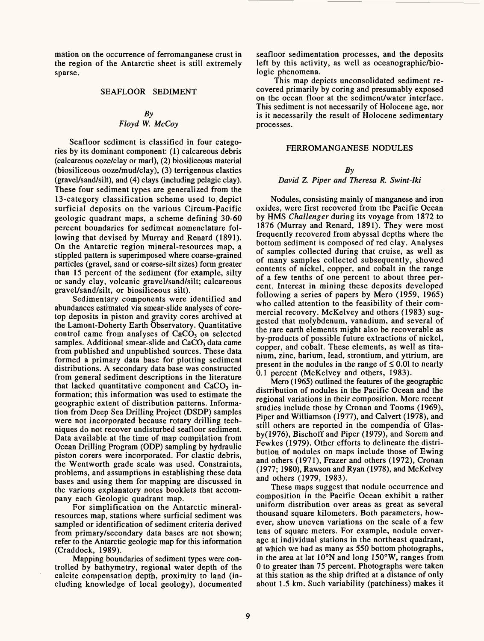mation on the occurrence of ferromanganese crust in the region of the Antarctic sheet is still extremely sparse.

#### SEAFLOOR SEDIMENT

#### *By Floyd W. McCoy*

Seafloor sediment is classified in four categories by its dominant component: (1) calcareous debris (calcareous ooze/clay or marl), (2) biosiliceous material (biosiliceous ooze/mud/clay), (3) terrigenous elastics (gravel/sand/silt), and (4) clays (including pelagic clay). These four sediment types are generalized from the 13-category classification scheme used to depict surficial deposits on the various Circum-Pacific geologic quadrant maps, a scheme defining 30-60 percent boundaries for sediment nomenclature following that devised by Murray and Renard (1891). On the Antarctic region mineral-resources map, a stippled pattern is superimposed where coarse-grained particles (gravel, sand or coarse-silt sizes) form greater than 15 percent of the sediment (for example, silty or sandy clay, volcanic gravel/sand/silt; calcareous gravel/sand/silt, or biosiliceous silt).

Sedimentary components were identified and abundances estimated via smear-slide analyses of coretop deposits in piston and gravity cores archived at the Lamont-Doherty Earth Observatory. Quantitative control came from analyses of  $CaCO<sub>3</sub>$  on selected samples. Additional smear-slide and  $CaCO<sub>3</sub>$  data came from published and unpublished sources. These data formed a primary data base for plotting sediment distributions. A secondary data base was constructed from general sediment descriptions in the literature that lacked quantitative component and  $CaCO<sub>3</sub>$  information; this information was used to estimate the geographic extent of distribution patterns. Information from Deep Sea Drilling Project (DSDP) samples were not incorporated because rotary drilling techniques do not recover undisturbed seafloor sediment. Data available at the time of map compilation from Ocean Drilling Program (ODP) sampling by hydraulic piston corers were incorporated. For clastic debris, the Wentworth grade scale was used. Constraints, problems, and assumptions in establishing these data bases and using them for mapping are discussed in the various explanatory notes booklets that accompany each Geologic quadrant map.

For simplification on the Antarctic mineralresources map, stations where surficial sediment was sampled or identification of sediment criteria derived from primary/secondary data bases are not shown; refer to the Antarctic geologic map for this information (Craddock, 1989).

Mapping boundaries of sediment types were controlled by bathymetry, regional water depth of the calcite compensation depth, proximity to land (including knowledge of local geology), documented

seafloor sedimentation processes, and the deposits left by this activity, as well as oceanographic/biologic phenomena.

This map depicts unconsolidated sediment recovered primarily by coring and presumably exposed on the ocean floor at the sediment/water interface. This sediment is not necessarily of Holocene age, nor is it necessarily the result of Holocene sedimentary processes.

#### FERROMANGANESE NODULES

#### *By*

#### *David* Z. *Piper and Theresa R. Swint-Iki*

Nodules, consisting mainly of manganese and iron oxides, were first recovered from the Pacific Ocean by HMS *Challenger* during its voyage from 1872 to 1876 (Murray and Renard, 1891). They were most frequently recovered from abyssal depths where the bottom sediment is composed of red clay. Analyses of samples collected during that cruise, as well as of many samples collected subsequently, showed contents of nickel, copper, and cobalt in the range of a few tenths of one percent to about three percent. Interest in mining these deposits developed following a series of papers by Mero (1959, 1965) who called attention to the feasibility of their commercial recovery. McKelvey and others (1983) suggested that molybdenum, vanadium, and several of the rare earth elements might also be recoverable as by-products of possible future extractions of nickel, copper, and cobalt. These elements, as well as titanium, zinc, barium, lead, strontium, and yttrium, are present in the nodules in the range of  $\leq 0.01$  to nearly 0.1 percent (McKelvey and others, 1983).

Mero (1965) outlined the features of the geographic distribution of nodules in the Pacific Ocean and the regional variations in their composition. More recent studies include those by Cronan and Tooms (1969), Piper and Williamson (1977), and Calvert (1978), and still others are reported in the compendia of Glasby(1976), Bischoff and Piper (1979), and Sorem and Fewkes (1979). Other efforts to delineate the distribution of nodules on maps include those of Ewing and others (1971), Frazer and others (1972), Cronan (1977; 1980), Rawson and Ryan (1978), and McKelvey and others (1979, 1983).

These maps suggest that nodule occurrence and composition in the Pacific Ocean exhibit a rather uniform distribution over areas as great as several thousand square kilometers. Both parameters, however, show uneven variations on the scale of a few tens of square meters. For example, nodule coverage at individual stations in the northeast quadrant, at which we had as many as 550 bottom photographs, in the area at lat 10°N and long 150°W, ranges from 0 to greater than 75 percent. Photographs were taken at this station as the ship drifted at a distance of only about 1.5 km. Such variability (patchiness) makes it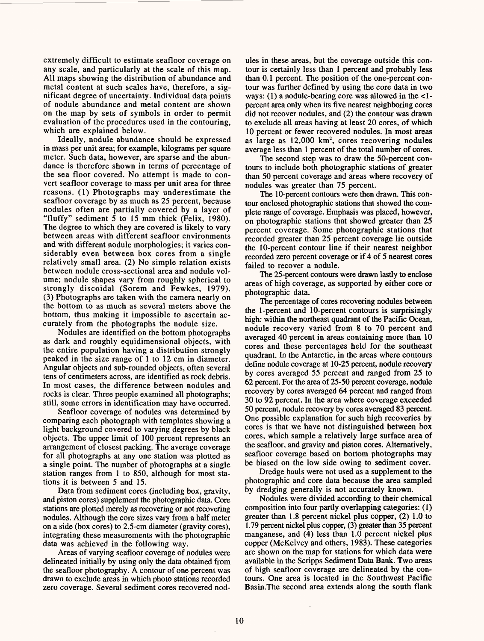extremely difficult to estimate seafloor coverage on any scale, and particularly at the scale of this map. All maps showing the distribution of abundance and metal content at such scales have, therefore, a significant degree of uncertainty. Individual data points of nodule abundance and metal content are shown on the map by sets of symbols in order to permit evaluation of the procedures used in the contouring, which are explained below.

Ideally, nodule abundance should be expressed in mass per unit area; for example, kilograms per square meter. Such data, however, are sparse and the abundance is therefore shown in terms of percentage of the sea floor covered. No attempt is made to convert seafloor coverage to mass per unit area for three reasons. (1) Photographs may underestimate the seafloor coverage by as much as 25 percent, because nodules often are partially covered by a layer of "fluffy" sediment  $\bar{5}$  to 15 mm thick (Felix, 1980). The degree to which they are covered is likely to vary between areas with different seafloor environments and with different nodule morphologies; it varies considerably even between box cores from a single relatively small area. (2) No simple relation exists between nodule cross-sectional area and nodule volume; nodule shapes vary from roughly spherical to strongly discoidal (Sorem and Fewkes, 1979). (3) Photographs are taken with the camera nearly on the bottom to as much as several meters above the bottom, thus making it impossible to ascertain accurately from the photographs the nodule size.

Nodules are identified on the bottom photographs as dark and roughly equidimensional objects, with the entire population having a distribution strongly peaked in the size range of 1 to 12 cm in diameter. Angular objects and sub-rounded objects, often several tens of centimeters across, are identified as rock debris. In most cases, the difference between nodules and rocks is clear. Three people examined all photographs; still, some errors in identification may have occurred.

Seafloor coverage of nodules was determined by comparing each photograph with templates showing a light background covered to varying degrees by black objects. The upper limit of 100 percent represents an arrangement of closest packing. The average coverage for all photographs at any one station was plotted as a single point. The number of photographs at a single station ranges from 1 to 850, although for most stations it is between 5 and 15.

Data from sediment cores (including box, gravity, and piston cores) supplement the photographic data. Core stations are plotted merely as recovering or not recovering nodules. Although the core sizes vary from a half meter on a side (box cores) to 2.5-cm diameter (gravity cores), integrating these measurements with the photographic data was achieved in the following way.

Areas of varying seafloor coverage of nodules were delineated initially by using only the data obtained from the seafloor photography. A contour of one percent was drawn to exclude areas in which photo stations recorded zero coverage. Several sediment cores recovered nod-

ules in these areas, but the coverage outside this contour is certainly less than 1 percent and probably less than 0.1 percent. The position of the one-percent contour was further defined by using the core data in two ways: (1) a nodule-bearing core was allowed in the <1 percent area only when its five nearest neighboring cores did not recover nodules, and (2) the contour was drawn to exclude all areas having at least 20 cores, of which 10 percent or fewer recovered nodules. In most areas as large as  $12,000 \text{ km}^2$ , cores recovering nodules average less than 1 percent of the total number of cores.

The second step was to draw the 50-percent contours to include both photographic stations of greater than 50 percent coverage and areas where recovery of nodules was greater than 75 percent.

The 10-percent contours were then drawn. This contour enclosed photographic stations that showed the complete range of coverage. Emphasis was placed, however, on photographic stations that showed greater than 25 percent coverage. Some photographic stations that recorded greater than 25 percent coverage lie outside the 10-percent contour line if their nearest neighbor recorded zero percent coverage or if 4 of 5 nearest cores failed to recover a nodule.

The 25-percent contours were drawn lastly to enclose areas of high coverage, as supported by either core or photographic data.

The percentage of cores recovering nodules between the 1-percent and 10-percent contours is surprisingly high: within the northeast quadrant of the Pacific Ocean, nodule recovery varied from 8 to 70 percent and averaged 40 percent in areas containing more than 10 cores and these percentages held for the southeast quadrant. In the Antarctic, in the areas where contours define nodule coverage at 10-25 percent, nodule recovery by cores averaged 55 percent and ranged from 25 to 62 percent. For the area of 25-50 percent coverage, nodule recovery by cores averaged 64 percent and ranged from 30 to 92 percent. In the area where coverage exceeded 50 percent, nodule recovery by cores averaged 83 percent. One possible explanation for such high recoveries by cores is that we have not distinguished between box cores, which sample a relatively large surface area of the seafloor, and gravity and piston cores. Alternatively, seafloor coverage based on bottom photographs may be biased on the low side owing to sediment cover.

Dredge hauls were not used as a supplement to the photographic and core data because the area sampled by dredging generally is not accurately known.

Nodules were divided according to their chemical composition into four partly overlapping categories: (1) greater than 1.8 percent nickel plus copper, (2) 1.0 to 1.79 percent nickel plus copper, (3) greater than 35 percent manganese, and (4) less than 1.0 percent nickel plus copper (McKelvey and others, 1983). These categories are shown on the map for stations for which data were available in the Scripps Sediment Data Bank. Two areas of high seafloor coverage are delineated by the contours. One area is located in the Southwest Pacific Basin.The second area extends along the south flank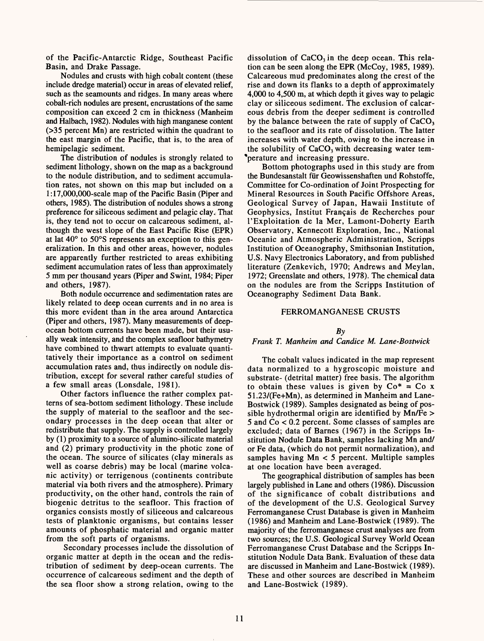of the Pacific-Antarctic Ridge, Southeast Pacific Basin, and Drake Passage.

Nodules and crusts with high cobalt content (these include dredge material) occur in areas of elevated relief, such as the seamounts and ridges. In many areas where cobalt-rich nodules are present, encrustations of the same composition can exceed 2 cm in thickness (Manheim and Halbach, 1982). Nodules with high manganese content (>35 percent Mn) are restricted within the quadrant to the east margin of the Pacific, that is, to the area of hemipelagic sediment.

The distribution of nodules is strongly related to sediment lithology, shown on the map as a background to the nodule distribution, and to sediment accumulation rates, not shown on this map but included on a l:17,000,000-scale map of the Pacific Basin (Piper and others, 1985). The distribution of nodules shows a strong preference for siliceous sediment and pelagic clay. That is, they tend not to occur on calcareous sediment, although the west slope of the East Pacific Rise (EPR) at lat 40° to 50°S represents an exception to this generalization. In this and other areas, however, nodules are apparently further restricted to areas exhibiting sediment accumulation rates of less than approximately 5 mm per thousand years (Piper and Swint, 1984; Piper and others, 1987).

Both nodule occurrence and sedimentation rates are likely related to deep ocean currents and in no area is this more evident than in the area around Antarctica (Piper and others, 1987). Many measurements of deepocean bottom currents have been made, but their usually weak intensity, and the complex seafloor bathymetry have combined to thwart attempts to evaluate quantitatively their importance as a control on sediment accumulation rates and, thus indirectly on nodule distribution, except for several rather careful studies of a few small areas (Lonsdale, 1981).

Other factors influence the rather complex patterns of sea-bottom sediment lithology. These include the supply of material to the seafloor and the secondary processes in the deep ocean that alter or redistribute that supply. The supply is controlled largely by (1) proximity to a source of alumino-silicate material and (2) primary productivity in the photic zone of the ocean. The source of silicates (clay minerals as well as coarse debris) may be local (marine volcanic activity) or terrigenous (continents contribute material via both rivers and the atmosphere). Primary productivity, on the other hand, controls the rain of biogenic detritus to the seafloor. This fraction of organics consists mostly of siliceous and calcareous tests of planktonic organisms, but contains lesser amounts of phosphatic material and organic matter from the soft parts of organisms.

Secondary processes include the dissolution of organic matter at depth in the ocean and the redistribution of sediment by deep-ocean currents. The occurrence of calcareous sediment and the depth of the sea floor show a strong relation, owing to the

dissolution of  $CaCO<sub>3</sub>$  in the deep ocean. This relation can be seen along the EPR (McCoy, 1985, 1989). Calcareous mud predominates along the crest of the rise and down its flanks to a depth of approximately 4,000 to 4,500 m, at which depth it gives way to pelagic clay or siliceous sediment. The exclusion of calcareous debris from the deeper sediment is controlled by the balance between the rate of supply of  $CaCO<sub>3</sub>$ to the seafloor and its rate of dissolution. The latter increases with water depth, owing to the increase in the solubility of  $CaCO<sub>3</sub>$  with decreasing water tem-\*perature and increasing pressure.

Bottom photographs used in this study are from the Bundesanstalt fur Geowissenshaften und Rohstoffe, Committee for Co-ordination of Joint Prospecting for Mineral Resources in South Pacific Offshore Areas, Geological Survey of Japan, Hawaii Institute of Geophysics, Institut Fran§ais de Recherches pour 1'Exploitation de la Mer, Lamont-Doherty Earth Observatory, Kennecott Exploration, Inc., National Oceanic and Atmospheric Administration, Scripps Institution of Oceanography, Smithsonian Institution, U.S. Navy Electronics Laboratory, and from published literature (Zenkevich, 1970; Andrews and Meylan, 1972; Greenslate and others, 1978). The chemical data on the nodules are from the Scripps Institution of Oceanography Sediment Data Bank.

#### FERROMANGANESE CRUSTS

#### *By*

#### *Frank T. Manheim and Candice M. Lane-Bostwick*

The cobalt values indicated in the map represent data normalized to a hygroscopic moisture and substrate- (detrital matter) free basis. The algorithm to obtain these values is given by  $Co^* = Co x$ 51.23/(Fe+Mn), as determined in Manheim and Lane-Bostwick (1989). Samples designated as being of possible hydrothermal origin are identified by Mn/Fe > 5 and Co < 0.2 percent. Some classes of samples are excluded; data of Barnes (1967) in the Scripps Institution Nodule Data Bank, samples lacking Mn and/ or Fe data, (which do not permit normalization), and samples having Mn < 5 percent. Multiple samples at one location have been averaged.

The geographical distribution of samples has been largely published in Lane and others (1986). Discussion of the significance of cobalt distributions and of the development of the U.S. Geological Survey Ferromanganese Crust Database is given in Manheim (1986) and Manheim and Lane-Bostwick (1989). The majority of the ferromanganese crust analyses are from two sources; the U.S. Geological Survey World Ocean Ferromanganese Crust Database and the Scripps Institution Nodule Data Bank. Evaluation of these data are discussed in Manheim and Lane-Bostwick (1989). These and other sources are described in Manheim and Lane-Bostwick (1989).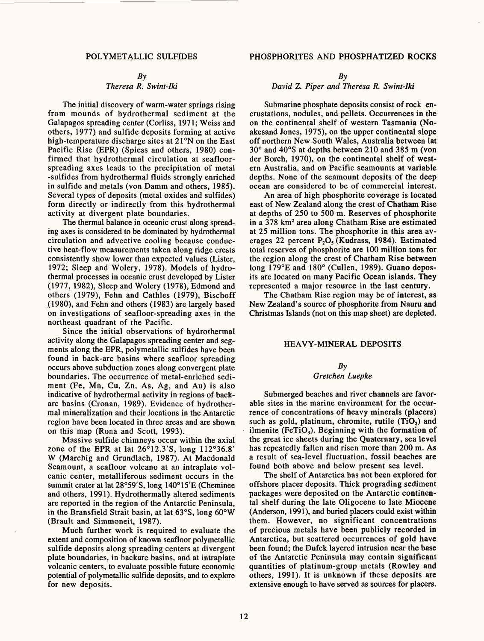#### $Bv$

#### *Theresa R. Swint-Iki*

The initial discovery of warm-water springs rising from mounds of hydrothermal sediment at the Galapagos spreading center (Corliss, 1971; Weiss and others, 1977) and sulfide deposits forming at active high-temperature discharge sites at 21°N on the East Pacific Rise (EPR) (Spiess and others, 1980) confirmed that hydrothermal circulation at seafloorspreading axes leads to the precipitation of metal -sulfides from hydrothermal fluids strongly enriched in sulfide and metals (von Damm and others, 1985). Several types of deposits (metal oxides and sulfides) form directly or indirectly from this hydrothermal activity at divergent plate boundaries.

The thermal balance in oceanic crust along spreading axes is considered to be dominated by hydrothermal circulation and advective cooling because conductive heat-flow measurements taken along ridge crests consistently show lower than expected values (Lister, 1972; Sleep and Wolery, 1978). Models of hydrothermal processes in oceanic crust developed by Lister (1977, 1982), Sleep and Wolery (1978), Edmond and others (1979), Fehn and Cathles (1979), Bischoff (1980), and Fehn and others (1983) are largely based on investigations of seafloor-spreading axes in the northeast quadrant of the Pacific.

Since the initial observations of hydrothermal activity along the Galapagos spreading center and segments along the EPR, polymetallic sulfides have been found in back-arc basins where seafloor spreading occurs above subduction zones along convergent plate boundaries. The occurrence of metal-enriched sediment (Fe, Mn, Cu, Zn, As, Ag, and Au) is also indicative of hydrothermal activity in regions of backarc basins (Cronan, 1989). Evidence of hydrothermal mineralization and their locations in the Antarctic region have been located in three areas and are shown on this map (Rona and Scott, 1993).

Massive sulfide chimneys occur within the axial zone of the EPR at lat 26°12.3'S, long 112°36.8' W (Marchig and Grundlach, 1987). At Macdonald Seamount, a seafloor volcano at an intraplate volcanic center, metalliferous sediment occurs in the summit crater at lat 28°59'S, long 140°15'E (Cheminee and others, 1991). Hydrothermally altered sediments are reported in the region of the Antarctic Peninsula, in the Bransfield Strait basin, at lat 63°S, long 60°W (Brault and Simmoneit, 1987).

Much further work is required to evaluate the extent and composition of known seafloor polymetallic sulfide deposits along spreading centers at divergent plate boundaries, in backarc basins, and at intraplate volcanic centers, to evaluate possible future economic potential of polymetallic sulfide deposits, and to explore for new deposits.

#### POLYMETALLIC SULFIDES PHOSPHORITES AND PHOSPHATIZED ROCKS

 $Bv$ 

#### *David Z. Piper and Theresa R. Swint-Iki*

Submarine phosphate deposits consist of rock encrustations, nodules, and pellets. Occurrences in the on the continental shelf of western Tasmania (Noakesand Jones, 1975), on the upper continental slope off northern New South Wales, Australia between lat 30° and 40°S at depths between 210 and 385 m (von der Borch, 1970), on the continental shelf of western Australia, and on Pacific seamounts at variable depths. None of the seamount deposits of the deep ocean are considered to be of commercial interest.

An area of high phosphorite coverage is located east of New Zealand along the crest of Chatham **Rise**  at depths of 250 to 500 m. Reserves of phosphorite in a 378 km2 area along Chatham Rise are estimated at 25 million tons. The phosphorite in this area averages 22 percent  $P_2O_5$  (Kudrass, 1984). Estimated total reserves of phosphorite are 100 million tons for the region along the crest of Chatham Rise between long 179°E and 180° (Cullen, 1989). Guano deposits are located on many Pacific Ocean islands. They represented a major resource in the last century.

The Chatham Rise region may be of interest, as New Zealand's source of phosphorite from Nauru and Christmas Islands (not on this map sheet) are depleted.

#### HEAVY-MINERAL DEPOSITS

#### *By Gretchen Luepke*

Submerged beaches and river channels are favorable sites in the marine environment for the occurrence of concentrations of heavy minerals (placers) such as gold, platinum, chromite, rutile  $(TiO<sub>2</sub>)$  and ilmenite (FeTiO<sub>3</sub>). Beginning with the formation of the great ice sheets during the Quaternary, sea level has repeatedly fallen and risen more than 200 m. As a result of sea-level fluctuation, fossil beaches are found both above and below present sea level.

The shelf of Antarctica has not been explored for offshore placer deposits. Thick prograding sediment packages were deposited on the Antarctic continental shelf during the late Oligocene to late Miocene (Anderson, 1991), and buried placers could exist within them. However, no significant concentrations of precious metals have been publicly recorded in Antarctica, but scattered occurrences of gold have been found; the Dufek layered intrusion near the base of the Antarctic Peninsula may contain significant quantities of platinum-group metals (Rowley and others, 1991). It is unknown if these deposits are extensive enough to have served as sources for placers.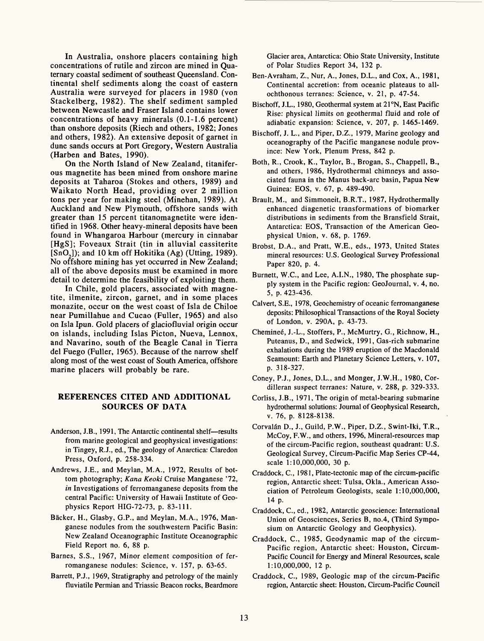In Australia, onshore placers containing high concentrations of rutile and zircon are mined in Quaternary coastal sediment of southeast Queensland. Continental shelf sediments along the coast of eastern Australia were surveyed for placers in 1980 (von Stackelberg, 1982). The shelf sediment sampled between Newcastle and Fraser Island contains lower concentrations of heavy minerals (0.1-1.6 percent) than onshore deposits (Riech and others, 1982; Jones and others, 1982). An extensive deposit of garnet in dune sands occurs at Port Gregory, Western Australia (Harben and Bates, 1990).

On the North Island of New Zealand, titaniferous magnetite has been mined from onshore marine deposits at Taharoa (Stokes and others, 1989) and Waikato North Head, providing over 2 million tons per year for making steel (Minehan, 1989). At Auckland and New Plymouth, offshore sands with greater than 15 percent titanomagnetite were identified in 1968. Other heavy-mineral deposits have been found in Whangaroa Harbour (mercury in cinnabar [HgS]; Foveaux Strait (tin in alluvial cassiterite  $[SnO<sub>2</sub>]$ ; and 10 km off Hokitika (Ag) (Utting, 1989). No offshore mining has yet occurred in New Zealand; all of the above deposits must be examined in more detail to determine the feasibility of exploiting them.

In Chile, gold placers, associated with magnetite, ilmenite, zircon, garnet, and in some places monazite, occur on the west coast of Isla de Chiloe near Pumillahue and Cucao (Fuller, 1965) and also on Isla Ipun. Gold placers of glaciofluvial origin occur on islands, including Islas Picton, Nueva, Lennox, and Navarino, south of the Beagle Canal in Tierra del Fuego (Fuller, 1965). Because of the narrow shelf along most of the west coast of South America, offshore marine placers will probably be rare.

#### **REFERENCES CITED AND ADDITIONAL SOURCES OF DATA**

- Anderson, J.B., 1991, The Antarctic continental shelf-results from marine geological and geophysical investigations: in Tingey, R.J., ed., The geology of Anarctica: Claredon Press, Oxford, p. 258-334.
- Andrews, I.E., and Meylan, M.A., 1972, Results of bottom photography; *Kana Keoki* Cruise Manganese '72, *in* Investigations of ferromanganese deposits from the central Pacific: University of Hawaii Institute of Geophysics Report HIG-72-73, p. 83-111.
- Bäcker, H., Glasby, G.P., and Meylan, M.A., 1976, Manganese nodules from the southwestern Pacific Basin: New Zealand Oceanographic Institute Oceanographic Field Report no. 6, 88 p.
- Barnes, S.S., 1967, Minor element composition of ferromanganese nodules: Science, v. 157, p. 63-65.
- Barrett, P.J., 1969, Stratigraphy and petrology of the mainly fluviatile Permian and Triassic Beacon rocks, Beardmore

Glacier area, Antarctica: Ohio State University, Institute of Polar Studies Report 34, 132 p.

- Ben-Avraham, Z., Nur, A., Jones, D.L., and Cox, A., 1981, Continental accretion: from oceanic plateaus to allochthonous terranes: Science, v. 21, p. 47-54.
- Bischoff, J.L., 1980, Geothermal system at 21°N, East Pacific Rise: physical limits on geothermal fluid and role of adiabatic expansion: Science, v. 207, p. 1465-1469.
- Bischoff, J. L., and Piper, D.Z., 1979, Marine geology and oceanography of the Pacific manganese nodule province: New York, Plenum Press, 842 p.
- Both, R., Crook, K., Taylor, B., Brogan, S., Chappell, B., and others, 1986, Hydrothermal chimneys and associated fauna in the Manus back-arc basin, Papua New Guinea: EOS, v. 67, p. 489-490.
- Brault, M., and Simmoneit, B.R.T., 1987, Hydrothermally enhanced diagenetic transformations of biomarker distributions in sediments from the Bransfield Strait, Antarctica: EOS, Transaction of the American Geophysical Union, v. 68, p. 1769.
- Brobst, D.A., and Pratt, W.E., eds., 1973, United States mineral resources: U.S. Geological Survey Professional Paper 820, p. 4.
- Burnett, W.C., and Lee, A.I.N., 1980, The phosphate supply system in the Pacific region: GeoJournal, v. 4, no. 5, p. 423-436.
- Calvert, S.E., 1978, Geochemistry of oceanic ferromanganese deposits: Philosophical Transactions of the Royal Society of London, v. 290A, p. 43-73.
- Chemineé, J.-L., Stoffers, P., McMurtry, G., Richnow, H., Puteanus, D., and Sedwick, 1991, Gas-rich submarine exhalations during the 1989 eruption of the Macdonald Seamount: Earth and Planetary Science Letters, v. 107, p. 318-327.
- Coney, P.J., Jones, D.L., and Monger, J.W.H., 1980, Cordilleran suspect terranes: Nature, v. 288, p. 329-333.
- Corliss, J.B., 1971, The origin of metal-bearing submarine hydrothermal solutions: Journal of Geophysical Research, v. 76, p. 8128-8138.
- Corvalán D., J., Guild, P.W., Piper, D.Z., Swint-Iki, T.R., McCoy, F.W., and others, 1996, Mineral-resources map of the circum-Pacific region, southeast quadrant: U.S. Geological Survey, Circum-Pacific Map Series CP-44, scale 1:10,000,000, 30 p.
- Craddock, C., 1981, Plate-tectonic map of the circum-pacific region, Antarctic sheet: Tulsa, Okla., American Association of Petroleum Geologists, scale 1:10,000,000, 14 p.
- Craddock, C., ed., 1982, Antarctic geoscience: International Union of Geosciences, Series B, no.4, (Third Symposium on Antarctic Geology and Geophysics).
- Craddock, C., 1985, Geodynamic map of the circum-Pacific region, Antarctic sheet: Houston, Circum-Pacific Council for Energy and Mineral Resources, scale 1:10,000,000, 12 p.
- Craddock, C., 1989, Geologic map of the circum-Pacific region, Antarctic sheet: Houston, Circum-Pacific Council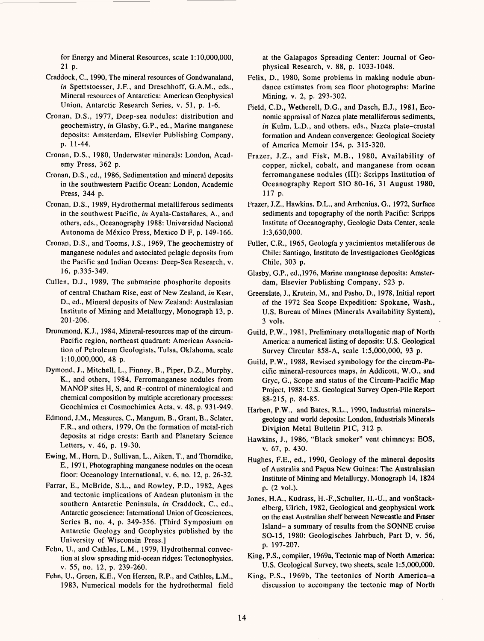for Energy and Mineral Resources, scale 1:10,000,000, 21 p.

- Craddock, C., 1990, The mineral resources of Gondwanaland, *in* Spettstoesser, J.F., and Dreschhoff, G.A.M., eds., Mineral resources of Antarctica: American Geophysical Union, Antarctic Research Series, v. 51, p. 1-6.
- Cronan, D.S., 1977, Deep-sea nodules: distribution and geochemistry, *in* Glasby, G.P., ed., Marine manganese deposits: Amsterdam, Elsevier Publishing Company, p. 11-44.
- Cronan, D.S., 1980, Underwater minerals: London, Academy Press, 362 p.
- Cronan, D.S., ed., 1986, Sedimentation and mineral deposits in the southwestern Pacific Ocean: London, Academic Press, 344 p.
- Cronan, D.S., 1989, Hydrothermal metalliferous sediments in the southwest Pacific, *in* Ayala-Castañares, A., and others, eds., Oceanography 1988: Universidad Nacional Autonoma de Mexico Press, Mexico D F, p. 149-166.
- Cronan, D.S., and Tooms, J.S., 1969, The geochemistry of manganese nodules and associated pelagic deposits from the Pacific and Indian Oceans: Deep-Sea Research, v. 16, p.335-349.
- Cullen, D.J., 1989, The submarine phosphorite deposits of central Chatham Rise, east of New Zealand, *in* Kear, D., ed., Mineral deposits of New Zealand: Australasian Institute of Mining and Metallurgy, Monograph 13, p. 201-206.
- Drummond, K.J., 1984, Mineral-resources map of the circum-Pacific region, northeast quadrant: American Association of Petroleum Geologists, Tulsa, Oklahoma, scale 1:10,000,000, 48 p.
- Dymond, J., Mitchell, L., Finney, B., Piper, D.Z., Murphy, K., and others, 1984, Ferromanganese nodules from MANOP sites H, S, and R-control of mineralogical and chemical composition by multiple accretionary processes: Geochimica et Cosmochimica Acta, v. 48, p. 931-949.
- Edmond, J.M., Measures, C., Mangum, B., Grant, B., Sclater, F.R., and others, 1979, On the formation of metal-rich deposits at ridge crests: Earth and Planetary Science Letters, v. 46, p. 19-30.
- Ewing, M., Horn, D., Sullivan, L., Aiken, T., and Thorndike, E., 1971, Photographing manganese nodules on the ocean floor: Oceanology International, v. 6, no. 12, p. 26-32.
- Farrar, E., McBride, S.L., and Rowley, P.D., 1982, Ages and tectonic implications of Andean plutonism in the southern Antarctic Peninsula, *in* Craddock, C., ed., Antarctic geoscience: International Union of Geosciences, Series B, no. 4, p. 349-356. [Third Symposium on Antarctic Geology and Geophysics published by the University of Wisconsin Press.]
- Fehn, U., and Cathles, L.M., 1979, Hydrothermal convection at slow spreading mid-ocean ridges: Tectonophysics, v. 55, no. 12, p. 239-260.
- Fehn, U., Green, K.E., Von Herzen, R.P., and Cathles, L.M., 1983, Numerical models for the hydrothermal field

at the Galapagos Spreading Center: Journal of Geophysical Research, v. 88, p. 1033-1048.

- Felix, D., 1980, Some problems in making nodule abundance estimates from sea floor photographs: Marine Mining, v. 2, p. 293-302.
- Field, C.D., Wetherell, D.G., and Dasch, E.J., 1981, Economic appraisal of Nazca plate metalliferous sediments, *in* Kulm, L.D., and others, eds., Nazca plate-crustal formation and Andean convergence: Geological Society of America Memoir 154, p. 315-320.
- Frazer, J.Z., and Fisk, M.B., 1980, Availability of copper, nickel, cobalt, and manganese from ocean ferromanganese nodules (III): Scripps Institution of Oceanography Report SIO 80-16, 31 August 1980, 117 p.
- Frazer, J.Z., Hawkins, D.L., and Arrhenius, G., 1972, Surface sediments and topography of the north Pacific: Scripps Institute of Oceanography, Geologic Data Center, scale 1:3,630,000.
- Fuller, C.R., 1965, Geologfa y yacimientos metaliferous de Chile: Santiago, Instituto de Investigaciones Geol6gicas Chile, 303 p.
- Glasby, G.P., ed.,1976, Marine manganese deposits: Amsterdam, Elsevier Publishing Company, 523 p.
- Greenslate, J., Krutein, M., and Pasho, D., 1978, Initial report of the 1972 Sea Scope Expedition: Spokane, Wash., U.S. Bureau of Mines (Minerals Availability System), 3 vols.
- Guild, P.W., 1981, Preliminary metallogenic map of North America: a numerical listing of deposits: U.S. Geological Survey Circular 858-A, scale 1:5,000,000, 93 p.
- Guild, P.W., 1988, Revised symbology for the circum-Pacific mineral-resources maps, *in* Addicott, W.O., and Gryc, G., Scope and status of the Circum-Pacific Map Project, 1988: U.S. Geological Survey Open-File Report 88-215, p. 84-85.
- Harben, P.W., and Bates, R.L., 1990, Industrial mineralsgeology and world deposits: London, Industrials Minerals Division Metal Bulletin PIC, 312 p.
- Hawkins, J., 1986, "Black smoker" vent chimneys: EOS, v. 67, p. 430.
- Hughes, F.E., ed., 1990, Geology of the mineral deposits of Australia and Papua New Guinea: The Australasian Institute of Mining and Metallurgy, Monograph 14, 1824 p. (2 vol.).
- Jones, H.A., Kudrass, H.-F.,Schulter, H.-U., and vonStackelberg, Ulrich, 1982, Geological and geophysical work on the east Australian shelf between Newcastle and Fraser Island- a summary of results from the SONNE cruise SO-15, 1980: Geologisches Jahrbuch, Part D, v. 56, p. 197-207.
- King, P.S., compiler, 1969a, Tectonic map of North America: U.S. Geological Survey, two sheets, scale 1:5,000,000.
- King, P.S., 1969b, The tectonics of North America-a discussion to accompany the tectonic map of North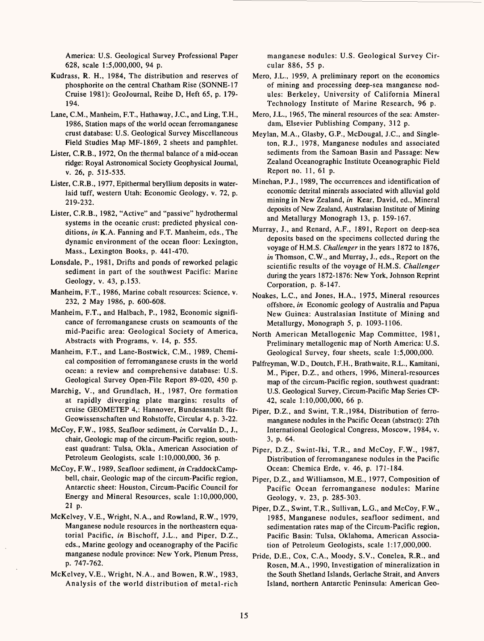America: U.S. Geological Survey Professional Paper 628, scale 1:5,000,000, 94 p.

- Kudrass, R. H., 1984, The distribution and reserves of phosphorite on the central Chatham Rise (SONNE-17 Cruise 1981): GeoJournal, Reihe D, Heft 65, p. 179- 194.
- Lane, C.M., Manheim, F.T., Hathaway, J.C., and Ling, T.H., 1986, Station maps of the world ocean ferromanganese crust database: U.S. Geological Survey Miscellaneous Field Studies Map MF-1869, 2 sheets and pamphlet.
- Lister, C.R.B., 1972, On the thermal balance of a mid-ocean ridge: Royal Astronomical Society Geophysical Journal, v. 26, p. 515-535.
- Lister, C.R.B., 1977, Epithermal beryllium deposits in waterlaid tuff, western Utah: Economic Geology, v. 72, p. 219-232.
- Lister, C.R.B., 1982, "Active" and "passive" hydrothermal systems in the oceanic crust: predicted physical conditions, *in* K.A. Fanning and F.T. Manheim, eds., The dynamic environment of the ocean floor: Lexington, Mass., Lexington Books, p. 441-470.
- Lonsdale, P., 1981, Drifts and ponds of reworked pelagic sediment in part of the southwest Pacific: Marine Geology, v. 43, p.153.
- Manheim, F.T., 1986, Marine cobalt resources: Science, v. 232, 2 May 1986, p. 600-608.
- Manheim, F.T., and Halbach, P., 1982, Economic significance of ferromanganese crusts on seamounts of the mid-Pacific area: Geological Society of America, Abstracts with Programs, v. 14, p. 555.
- Manheim, F.T., and Lane-Bostwick, C.M., 1989, Chemical composition of ferromanganese crusts in the world ocean: a review and comprehensive database: U.S. Geological Survey Open-File Report 89-020, 450 p.
- Marchig, V., and Grundlach, H., 1987, Ore formation at rapidly diverging plate margins: results of cruise GEOMETEP 4,: Hannover, Bundesanstalt fiir-Geowissenschaften und Rohstoffe, Circular 4, p. 3-22.
- McCoy, F.W., 1985, Seafloor sediment, *in* Corvalán D., J., chair, Geologic map of the circum-Pacific region, southeast quadrant: Tulsa, Okla., American Association of Petroleum Geologists, scale 1:10,000,000, 36 p.
- McCoy, F.W., 1989, Seafloor sediment, *in* CraddockCampbell, chair, Geologic map of the circum-Pacific region, Antarctic sheet: Houston, Circum-Pacific Council for Energy and Mineral Resources, scale 1:10,000,000, 21 p.
- McKelvey, V.E., Wright, N.A., and Rowland, R.W., 1979, Manganese nodule resources in the northeastern equatorial Pacific, *in* Bischoff, J.L., and Piper, D.Z., eds., Marine geology and oceanography of the Pacific manganese nodule province: New York, Plenum Press, p. 747-762.
- McKelvey, V.E., Wright, N.A., and Bowen, R.W., 1983, Analysis of the world distribution of metal-rich

manganese nodules: U.S. Geological Survey Circular 886, 55 p.

- Mero, J.L., 1959, A preliminary report on the economics of mining and processing deep-sea manganese nodules: Berkeley, University of California Mineral Technology Institute of Marine Research, 96 p.
- Mero, J.L., 1965, The mineral resources of the sea: Amsterdam, Elsevier Publishing Company, 312 p.
- Meylan, M.A., Glasby, G.P., McDougal, J.C., and Singleton, R.J., 1978, Manganese nodules and associated sediments from the Samoan Basin and Passage: New Zealand Oceanographic Institute Oceanographic Field Report no. 11, 61 p.
- Minehan, P.J., 1989, The occurrences and identification of economic detrital minerals associated with alluvial gold mining in New Zealand, *in* Kear, David, ed., Mineral deposits of New Zealand, Australasian Institute of Mining and Metallurgy Monograph 13, p. 159-167.
- Murray, J., and Renard, A.F., 1891, Report on deep-sea deposits based on the specimens collected during the voyage of H.M.S. *Challenger* in the years 1872 to 1876, *in* Thomson, C.W., and Murray, J., eds., Report on the scientific results of the voyage of H.M.S. *Challenger*  during the years 1872-1876: New York, Johnson Reprint Corporation, p. 8-147.
- Noakes, L.C., and Jones, H.A., 1975, Mineral resources offshore, *in* Economic geology of Australia and Papua New Guinea: Australasian Institute of Mining and Metallurgy, Monograph 5, p. 1093-1106.
- North American Metallogenic Map Committee, 1981, Preliminary metallogenic map of North America: U.S. Geological Survey, four sheets, scale 1:5,000,000.
- Palfreyman, W.D., Doutch, F.H., Brathwaite, R.L., Kamitani, M., Piper, D.Z., and others, 1996, Mineral-resources map of the circum-Pacific region, southwest quadrant: U.S. Geological Survey, Circum-Pacific Map Series CP-42, scale 1:10,000,000, 66 p.
- Piper, D.Z., and Swint, T.R.,1984, Distribution of ferromanganese nodules in the Pacific Ocean (abstract): 27th International Geological Congress, Moscow, 1984, v. 3, p. 64.
- Piper, D.Z., Swint-Iki, T.R., and McCoy, F.W., 1987, Distribution of ferromanganese nodules in the Pacific Ocean: Chemica Erde, v. 46, p. 171-184.
- Piper, D.Z., and Williamson, M.E., 1977, Composition of Pacific Ocean ferromanganese nodules: Marine Geology, v. 23, p. 285-303.
- Piper, D.Z., Swint, T.R., Sullivan, L.G., and McCoy, F.W., 1985, Manganese nodules, seafloor sediment, and sedimentation rates map of the Circum-Pacific region, Pacific Basin: Tulsa, Oklahoma, American Association of Petroleum Geologists, scale 1:17,000,000.
- Pride, D.E., Cox, C.A., Moody, S.V., Conelea, R.R., and Rosen, M.A., 1990, Investigation of mineralization in the South Shetland Islands, Gerlache Strait, and Anvers Island, northern Antarctic Peninsula: American Geo-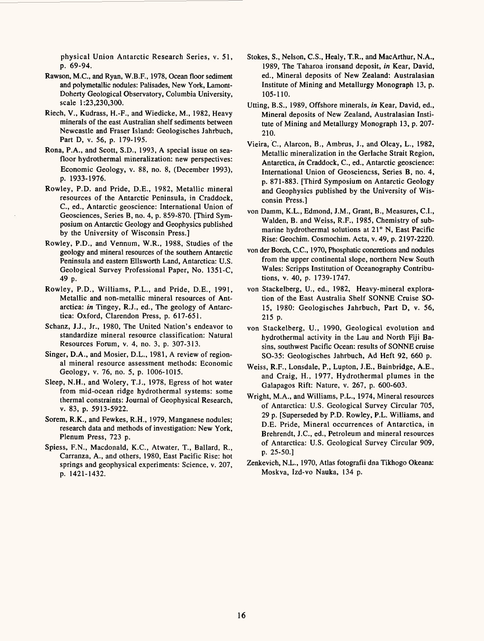physical Union Antarctic Research Series, v. 51, p. 69-94.

- Rawson, M.C., and Ryan, W.B.F., 1978, Ocean floor sediment and polymetallic nodules: Palisades, New York, Lamont-Doherty Geological Observatory, Columbia University, scale 1:23,230,300.
- Riech, V., Kudrass, H.-F., and Wiedicke, M., 1982, Heavy minerals of the east Australian shelf sediments between Newcastle and Fraser Island: Geologisches Jahrbuch, Part D, v. 56, p. 179-195.
- Rona, P.A., and Scott, S.D., 1993, A special issue on seafloor hydrothermal mineralization: new perspectives: Economic Geology, v. 88, no. 8, (December 1993), p. 1933-1976.
- Rowley, P.D. and Pride, D.E., 1982, Metallic mineral resources of the Antarctic Peninsula, in Craddock, C., ed., Antarctic geoscience: International Union of Geosciences, Series B, no. 4, p. 859-870. [Third Symposium on Antarctic Geology and Geophysics published by the University of Wisconsin Press.]
- Rowley, P.D., and Vennum, W.R., 1988, Studies of the geology and mineral resources of the southern Antarctic Peninsula and eastern Ellsworth Land, Antarctica: U.S. Geological Survey Professional Paper, No. 1351-C, 49 p.
- Rowley, P.D., Williams, P.L., and Pride, D.E., 1991, Metallic and non-metallic mineral resources of Antarctica: *in* Tingey, R.J., ed., The geology of Antarctica: Oxford, Clarendon Press, p. 617-651.
- Schanz, J.J., Jr., 1980, The United Nation's endeavor to standardize mineral resource classification: Natural Resources Forum, v. 4, no. 3, p. 307-313.
- Singer, D.A., and Mosier, D.L., 1981, A review of regional mineral resource assessment methods: Economic Geology, v. 76, no. 5, p. 1006-1015.
- Sleep, N.H., and Wolery, T.J., 1978, Egress of hot water from mid-ocean ridge hydrothermal systems: some thermal constraints: Journal of Geophysical Research, v. 83, p. 5913-5922.
- Sorem, R.K., and Fewkes, R.H., 1979, Manganese nodules; research data and methods of investigation: New York, Plenum Press, 723 p.
- Spiess, F.N., Macdonald, K.C., Atwater, T., Ballard, R., Carranza, A., and others, 1980, East Pacific Rise: hot springs and geophysical experiments: Science, v. 207, p. 1421-1432.
- Stokes, S., Nelson, C.S., Healy, T.R., and MacArthur, N.A., 1989, The Taharoa ironsand deposit, *in* Kear, David, ed., Mineral deposits of New Zealand: Australasian Institute of Mining and Metallurgy Monograph 13, p. 105-110.
- Utting, B.S., 1989, Offshore minerals, *in* Kear, David, ed., Mineral deposits of New Zealand, Australasian Institute of Mining and Metallurgy Monograph 13, p. 207- 210.
- Vieira, C., Alarcon, B., Ambrus, J., and Olcay, L., 1982, Metallic mineralization in the Gerlache Strait Region, Antarctica, *in* Craddock, C., ed., Antarctic geoscience: International Union of Geosciencss, Series B, no. 4, p. 871-883. [Third Symposium on Antarctic Geology and Geophysics published by the University of Wisconsin Press.]
- von Damm, K.L., Edmond, J.M., Grant, B., Measures, C.I., Walden, B. and Weiss, R.F., 1985, Chemistry of submarine hydrothermal solutions at 21° N, East Pacific Rise: Geochim. Cosmochim. Acta, v. 49, p. 2197-2220.
- von der Borch, C.C., 1970, Phosphatic concretions and nodules from the upper continental slope, northern New South Wales: Scripps Institution of Oceanography Contributions, v. 40, p. 1739-1747.
- von Stackelberg, U., ed., 1982, Heavy-mineral exploration of the East Australia Shelf SONNE Cruise SO-15, 1980: Geologisches Jahrbuch, Part D, v. 56, 215 p.
- von Stackelberg, U., 1990, Geological evolution and hydrothermal activity in the Lau and North Fiji Basins, southwest Pacific Ocean: results of SONNE cruise SO-35: Geologisches Jahrbuch, Ad Heft 92, 660 p.
- Weiss, R.F., Lonsdale, P., Lupton, J.E., Bainbridge, A.E., and Craig, H., 1977, Hydrothermal plumes in the Galapagos Rift: Nature, v. 267, p. 600-603.
- Wright, M.A., and Williams, P.L., 1974, Mineral resources of Antarctica: U.S. Geological Survey Circular 705, 29 p. [Superseded by P.D. Rowley, P.L. Williams, and D.E. Pride, Mineral occurrences of Antarctica, in Brehrendt, J.C., ed., Petroleum and mineral resources of Antarctica: U.S. Geological Survey Circular 909, p. 25-50.]
- Zenkevich, N.L., 1970, Atlas fotografii dna Tikhogo Okeana: Moskva, Izd-vo Nauka, 134 p.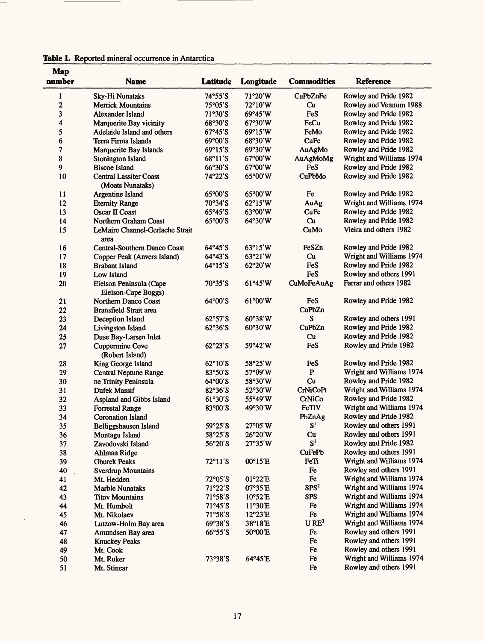| Map    |                                 |                          |                  |                    |                          |
|--------|---------------------------------|--------------------------|------------------|--------------------|--------------------------|
| number | <b>Name</b>                     | Latitude                 | Longitude        | <b>Commodities</b> | <b>Reference</b>         |
| 1      | Sky-Hi Nunataks                 | 74°55'S                  | 71°20'W          | <b>CuPbZnFe</b>    | Rowley and Pride 1982    |
| 2      | <b>Merrick Mountains</b>        | $75^{\circ}05^{\prime}S$ | 72°10′W          | Cu                 | Rowley and Vennum 1988   |
| 3      | Alexander Island                | 71°30'S                  | 69°45'W          | FeS                | Rowley and Pride 1982    |
| 4      | Marquerite Bay vicinity         | 68°30'S                  | 67°30'W          | FeCu               | Rowley and Pride 1982    |
| 5      | Adelaide Island and others      | 67°45'S                  | 69°15'W          | FeMo               | Rowley and Pride 1982    |
| 6      | Terra Firma Islands             | 69°00'S                  | 68°30'W          | CuFe               | Rowley and Pride 1982    |
| 7      | Marquerite Bay Islands          | 69°15'S                  | 69°30'W          | AuAgMo             | Rowley and Pride 1982    |
| 8      | Stonington Island               | 68°11'S                  | 67°00'W          | AuAgMoMg           | Wright and Williams 1974 |
| 9      | <b>Biscoe Island</b>            | $66°30'$ S               | 67°00'W          | FeS                | Rowley and Pride 1982    |
| 10     | <b>Central Lassiter Coast</b>   | 74°22'S                  | 65°00'W          | CuPbMo             | Rowley and Pride 1982    |
|        | (Moats Nunataks)                |                          |                  |                    |                          |
| 11     | Argentine Island                | 65°00'S                  | 65°00'W          | Fe                 | Rowley and Pride 1982    |
| 12     | <b>Eternity Range</b>           | 70°34'S                  | $62^{\circ}15'W$ | AuAg               | Wright and Williams 1974 |
| 13     | <b>Oscar II Coast</b>           | $65^{\circ}45^{\prime}S$ | 63°00'W          | CuFe               | Rowley and Pride 1982    |
| 14     | Northern Graham Coast           | 65°00'S                  | 64°30'W          | Cu                 | Rowley and Pride 1982    |
| 15     | LeMaire Channel-Gerlache Strait |                          |                  | CuMo               | Vieira and others 1982   |
|        | area                            |                          |                  |                    |                          |
| 16     | Central-Southern Danco Coast    | 64°45'S                  | 63°15'W          | FeSZn              | Rowley and Pride 1982    |
| 17     | Copper Peak (Anvers Island)     | 64°43'S                  | 63°21′W          | Cu                 | Wright and Williams 1974 |
| 18     | <b>Brabant Island</b>           | 64°15'S                  | 62°20'W          | FeS                | Rowley and Pride 1982    |
| 19     | Low Island                      |                          |                  | FeS                | Rowley and others 1991   |
| 20     | Eielson Peninsula (Cape         | 70°35'S                  | 61°45'W          | CuMoFeAuAg         | Farrar and others 1982   |
|        | Eielson-Cape Boggs)             |                          |                  |                    |                          |
| 21     | Northern Danco Coast            | 64°00'S                  | 61°00'W          | FeS                | Rowley and Pride 1982    |
| 22     | <b>Bransfield Strait area</b>   |                          |                  | CuPbZn             |                          |
| 23     | Deception Island                | $62°57'$ S               | 60°38'W          | S                  | Rowley and others 1991   |
| 24     | Livingston Island               | 62°36'S                  | 60°30'W          | <b>CuPbZn</b>      | Rowley and Pride 1982    |
| 25     | Duse Bay-Larsen Inlet           |                          |                  | Cu                 | Rowley and Pride 1982    |
| 27     | Coppermine Cove                 | 62°23'S                  | 59°42'W          | FeS                | Rowley and Pride 1982    |
|        | (Robert Island)                 |                          |                  |                    |                          |
| 28     | King George Island              | 62°10'S                  | 58°25′W          | FeS                | Rowley and Pride 1982    |
| 29     | <b>Central Neptune Range</b>    | 83°50'S                  | 57°09'W          | $\mathbf{P}$       | Wright and Williams 1974 |
| 30     | ne Trinity Peninsula            | 64°00'S                  | 58°30′W          | Cu                 | Rowley and Pride 1982    |
| 31     | Dufek Massif                    | $82°36'$ S               | 52°30′W          | <b>CrNiCoPt</b>    | Wright and Williams 1974 |
| 32     | Aspland and Gibbs Island        | 61°30'S                  | 55°49'W          | CrNiCo             | Rowley and Pride 1982    |
| 33     | <b>Forrestal Range</b>          | 83°00'S                  | 49°30'W          | FeTiV              | Wright and Williams 1974 |
| 34     | <b>Coronation Island</b>        |                          |                  | PbZnAg             | Rowley and Pride 1982    |
| 35     | Belliggshausen Island           | 59°25'S                  | 27°05'W          | S <sup>1</sup>     | Rowley and others 1991   |
| 36     | Montagu Island                  | 58°25′S                  | 26°20'W          | Cu                 | Rowley and others 1991   |
| 37     | Zavodovski Island               | 56°20'S                  | 27°35'W          | S <sup>1</sup>     | Rowley and Pride 1982    |
| 38     | Ahlman Ridge                    |                          |                  | CuFePb             | Rowley and others 1991   |
| 39     | <b>Gburek Peaks</b>             | $72^{\circ}11'$ S        | 00°15'E          | FeTi               | Wright and Williams 1974 |
| 40     | <b>Sverdrup Mountains</b>       |                          |                  | $\rm Fe$           | Rowley and others 1991   |
| 41     | Mt. Hedden                      | $72^{\circ}05^{\prime}S$ | 01°22'E          | ${\bf Fe}$         | Wright and Williams 1974 |
| 42     | Marble Nunataks                 | $71°22'$ S               | 07°35'E          | SPS <sup>2</sup>   | Wright and Williams 1974 |
| 43     | <b>Titov Mountains</b>          | 71°58'S                  | 10°52'E          | <b>SPS</b>         | Wright and Williams 1974 |
| 44     | Mt. Humbolt                     | 71°45'S                  | 11°30'E          | Fe                 | Wright and Williams 1974 |
| 45     | Mt. Nikolaev                    | 71°58'S                  | 12°23'E          | Fe                 | Wright and Williams 1974 |
| 46     | Lutzow-Holm Bay area            | 69°38'S                  | 38°18'E          | URE <sup>3</sup>   | Wright and Williams 1974 |
| 47     | Amundsen Bay area               | 66°55'S                  | 50°00'E          | Fe                 | Rowley and others 1991   |
| 48     | <b>Knuckey Peaks</b>            |                          |                  | Fe                 | Rowley and others 1991   |
| 49     | Mt. Cook                        |                          |                  | ${\rm Fe}$         | Rowley and others 1991   |
| 50     | Mt. Ruker                       | 73°38'S                  | 64°45'E          | Fe                 | Wright and Williams 1974 |
| 51     | Mt. Stinear                     |                          |                  | Fe                 | Rowley and others 1991   |

|  |  |  | Table 1. Reported mineral occurrence in Antarctica |  |  |
|--|--|--|----------------------------------------------------|--|--|
|--|--|--|----------------------------------------------------|--|--|

 $\mathcal{L}$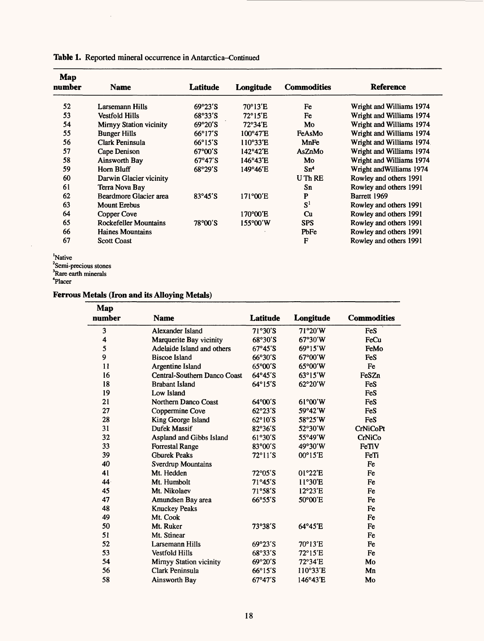| Map<br>number | <b>Name</b>                    | Latitude                  | Longitude         | <b>Commodities</b> | <b>Reference</b>          |
|---------------|--------------------------------|---------------------------|-------------------|--------------------|---------------------------|
| 52            | Larsemann Hills                | $69^{\circ}23'$ S         | 70°13'E           | Fe                 | Wright and Williams 1974  |
| 53            | <b>Vestfold Hills</b>          | 68°33'S                   | $72^{\circ}15'E$  | Fe                 | Wright and Williams 1974  |
| 54            | <b>Mirnyy Station vicinity</b> | $69^{\circ}20'$ S         | 72°34'E           | Mo                 | Wright and Williams 1974  |
| 55            | <b>Bunger Hills</b>            | $66^{\circ}17'$ S         | $100^{\circ}47'E$ | FeAsMo             | Wright and Williams 1974  |
| 56            | Clark Peninsula                | $66^{\circ}15^{\prime}S$  | 110°33'E          | MnFe               | Wright and Williams 1974. |
| 57            | Cape Denison                   | $67^{\circ}00^{\prime}$ S | 142°42'E          | AsZnMo             | Wright and Williams 1974  |
| 58            | Ainsworth Bay                  | $67^\circ 47'$ S          | 146°43'E          | Mo                 | Wright and Williams 1974  |
| 59            | Horn Bluff                     | 68°29'S                   | 149°46'E          | Sm <sup>4</sup>    | Wright and Williams 1974  |
| 60            | Darwin Glacier vicinity        |                           |                   | U Th RE            | Rowley and others 1991    |
| 61            | Terra Nova Bay                 |                           |                   | Sn                 | Rowley and others 1991    |
| 62            | Beardmore Glacier area         | $83^{\circ}45^{\prime}S$  | 171°00'E          | P                  | Barrett 1969              |
| 63            | <b>Mount Erebus</b>            |                           |                   | $S^1$              | Rowley and others 1991    |
| 64            | Copper Cove                    |                           | 170°00'E          | Cu                 | Rowley and others 1991    |
| 65            | <b>Rockefeller Mountains</b>   | 78°00'S                   | $155^{\circ}00'W$ | <b>SPS</b>         | Rowley and others 1991    |
| 66            | Haines Mountains               |                           |                   | PbFe               | Rowley and others 1991    |
| 67            | <b>Scott Coast</b>             |                           |                   | $\mathbf{F}$       | Rowley and others 1991    |

**Table 1.** Reported mineral occurrence in Antarctica-Continued

 $\bar{z}$ 

'Native

 $\ddot{\phantom{a}}$ 

<sup>2</sup>Semi-precious stones

Rare earth minerals

4Placer

## **Ferrous Metals (Iron and its Alloying Metals)**

| Map             |                              |                           |                  |                    |
|-----------------|------------------------------|---------------------------|------------------|--------------------|
| number          | <b>Name</b>                  | Latitude                  | Longitude        | <b>Commodities</b> |
| 3               | Alexander Island             | $71°30'$ S                | 71°20'W          | FeS                |
| 4               | Marquerite Bay vicinity      | 68°30'S                   | 67°30'W          | FeCu               |
| 5               | Adelaide Island and others   | $67^{\circ}45^{\prime}S$  | $69^{\circ}15'W$ | FeMo               |
| 9               | <b>Biscoe Island</b>         | 66°30'S                   | 67°00'W          | FeS                |
| 11              | Argentine Island             | $65^{\circ}00^{\prime}$ S | $65^{\circ}00'W$ | Fe                 |
| 16              | Central-Southern Danco Coast | $64^{\circ}45^{\prime}S$  | $63^{\circ}15'W$ | FeSZn              |
| 18              | <b>Brabant Island</b>        | $64^{\circ}15^{\prime}$ S | 62°20'W          | FeS                |
| 19              | Low Island                   |                           |                  | FeS                |
| 21              | Northern Danco Coast         | $64^{\circ}00^{\prime}$ S | 61°00'W          | FeS                |
| 27              | Coppermine Cove              | $62°23'$ S                | 59°42'W          | FeS                |
| 28              | King George Island           | 62°10'S                   | 58°25'W          | FeS                |
| 31              | Dufek Massif                 | 82°36'S                   | 52°30'W          | <b>CrNiCoPt</b>    |
| 32              | Aspland and Gibbs Island     | $61°30'$ S                | 55°49'W          | CrNiCo             |
| 33              | <b>Forrestal Range</b>       | 83°00'S                   | 49°30'W          | FeTiV              |
| 39              | <b>Ghurek Peaks</b>          | $72^{\circ}11'$ S         | 00°15'E          | FeTi               |
| 40              | <b>Sverdrup Mountains</b>    |                           |                  | Fe                 |
| 41              | Mt. Hedden                   | $72^{\circ}05^{\prime}S$  | 01°22'E          | Fe                 |
| 44 <sub>1</sub> | Mt. Humbolt                  | 71°45'S                   | 11°30'E          | Fe                 |
| 45              | Mt. Nikolaev                 | 71°58'S                   | $12^{\circ}23'E$ | Fe                 |
| 47              | Amundsen Bay area            | $66^{\circ}55^{\prime}S$  | 50°00'E          | Fe                 |
| 48              | <b>Knuckey Peaks</b>         |                           |                  | Fe                 |
| 49              | Mt. Cook                     |                           |                  | Fe                 |
| 50              | Mt. Ruker                    | 73°38'S                   | 64°45'E          | Fe                 |
| 51              | Mt. Stinear                  |                           |                  | Fe                 |
| 52              | <b>Larsemann Hills</b>       | 69°23'S                   | 70°13'E          | Fe                 |
| 53              | <b>Vestfold Hills</b>        | 68°33'S                   | 72°15'E          | Fe                 |
| 54              | Mirnyy Station vicinity      | $69°20'$ S                | 72°34'E          | Mo                 |
| 56              | Clark Peninsula              | $66^{\circ}15^{\prime}$ S | 110°33'E         | Mn                 |
| 58              | Ainsworth Bay                | $67^{\circ}47'$ S         | 146°43'E         | Mo                 |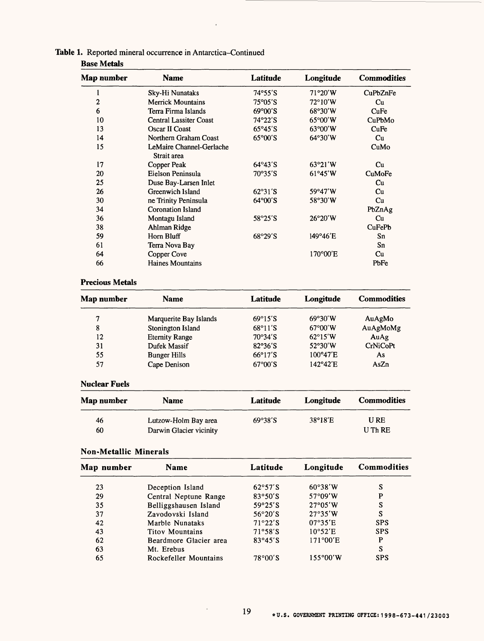| <b>Base Metals</b> |                                         |                           |                   |                    |  |
|--------------------|-----------------------------------------|---------------------------|-------------------|--------------------|--|
| Map number         | <b>Name</b>                             | Latitude                  | Longitude         | <b>Commodities</b> |  |
| I                  | Sky-Hi Nunataks                         | 74°55'S                   | 71°20'W           | CuPbZnFe           |  |
| 2                  | <b>Merrick Mountains</b>                | $75^{\circ}05^{\prime}$ S | $72^{\circ}10'W$  | Cu                 |  |
| 6                  | Terra Firma Islands                     | $69^{\circ}00'S$          | 68°30'W           | CuFe               |  |
| 10                 | <b>Central Lassiter Coast</b>           | $74°22'$ S                | $65^{\circ}00'W$  | CuPbMo             |  |
| 13                 | Oscar II Coast                          | $65°45'$ S                | $63^{\circ}00'W$  | CuFe               |  |
| 14                 | Northern Graham Coast                   | $65^{\circ}00^{\prime}$ S | $64^{\circ}30'W$  | Cu                 |  |
| 15                 | LeMaire Channel-Gerlache<br>Strait area |                           |                   | CuMo               |  |
| 17                 | Copper Peak                             | $64^{\circ}43'$ S         | 63°21'W           | Cu                 |  |
| 20                 | Eielson Peninsula                       | $70^{\circ}35^{\prime}$ S | $61^{\circ}45'W$  | CuMoFe             |  |
| 25                 | Duse Bay-Larsen Inlet                   |                           |                   | Cu                 |  |
| 26                 | Greenwich Island                        | $62^{\circ}31'$ S         | 59°47'W           | Cu                 |  |
| 30                 | ne Trinity Peninsula                    | $64^{\circ}00^{\prime}$ S | 58°30′W           | Cu                 |  |
| 34                 | <b>Coronation Island</b>                |                           |                   | PbZnAg             |  |
| 36                 | Montagu Island                          | 58°25'S                   | $26^{\circ}20'$ W | Cu                 |  |
| 38                 | Ahlman Ridge                            |                           |                   | <b>CuFePb</b>      |  |
| 59                 | Horn Bluff                              | 68°29'S                   | 149°46'E          | Sn                 |  |
| 61                 | Terra Nova Bay                          |                           |                   | Sn                 |  |
| 64                 | Copper Cove                             |                           | $170^{\circ}00'E$ | Cu                 |  |
| 66                 | Haines Mountains                        |                           |                   | PbFe               |  |

 $\bar{z}$ 

### **Table 1.** Reported mineral occurrence in Antarctica-Continued

| <b>Precious Metals</b> |  |
|------------------------|--|
|                        |  |

| Map number           | <b>Name</b>             | Latitude                  | Longitude          | <b>Commodities</b> |
|----------------------|-------------------------|---------------------------|--------------------|--------------------|
| 7                    | Marquerite Bay Islands  | $69^{\circ}15^{\prime}$ S | 69°30'W            | AuAgMo             |
| 8                    | Stonington Island       | $68^{\circ}11'S$          | $67^{\circ}00'$ W  | AuAgMoMg           |
| 12                   | <b>Eternity Range</b>   | $70°34'$ S                | $62^{\circ}15'W$   | AuAg               |
| 31                   | Dufek Massif            | $82^{\circ}36^{\circ}S$   | $52^{\circ}30'W$   | CrNiCoPt           |
| 55                   | <b>Bunger Hills</b>     | $66^{\circ}17'S$          | 100°47'E           | As                 |
| 57                   | Cape Denison            | $67^{\circ}00'S$          | $142^{\circ}42' E$ | AsZn               |
| <b>Nuclear Fuels</b> |                         |                           |                    |                    |
| Map number           | <b>Name</b>             | <b>Latitude</b>           | Longitude          | <b>Commodities</b> |
| 46                   | Lutzow-Holm Bay area    | 69°38'S                   | $38^{\circ}18'$ E  | U RE               |
| 60                   | Darwin Glacier vicinity |                           |                    | U Th RE            |

### Non-Metallic Minerals

| Map number | Name                   | Latitude   | Longitude          | <b>Commodities</b> |
|------------|------------------------|------------|--------------------|--------------------|
| 23         | Deception Island       | $62°57'$ S | $60°38'$ W         | S                  |
| 29         | Central Neptune Range  | $83°50'$ S | $57^{\circ}09'$ W  | P                  |
| 35         | Belliggshausen Island  | $59°25'$ S | 27°05'W            | S                  |
| 37         | Zavodovski Island      | $56°20'$ S | 27°35'W            | S                  |
| 42         | Marble Nunataks        | $71°22'$ S | $07^{\circ}35'E$   | <b>SPS</b>         |
| 43         | Titov Mountains        | $71°58'$ S | $10^{\circ}52'E$   | <b>SPS</b>         |
| 62         | Beardmore Glacier area | $83°45'$ S | $171^{\circ}00'E$  | P                  |
| 63         | Mt. Erebus             |            |                    | S                  |
| 65         | Rockefeller Mountains  | $78°00'$ S | $155^{\circ}00'$ W | <b>SPS</b>         |

 $\ddot{\phantom{a}}$